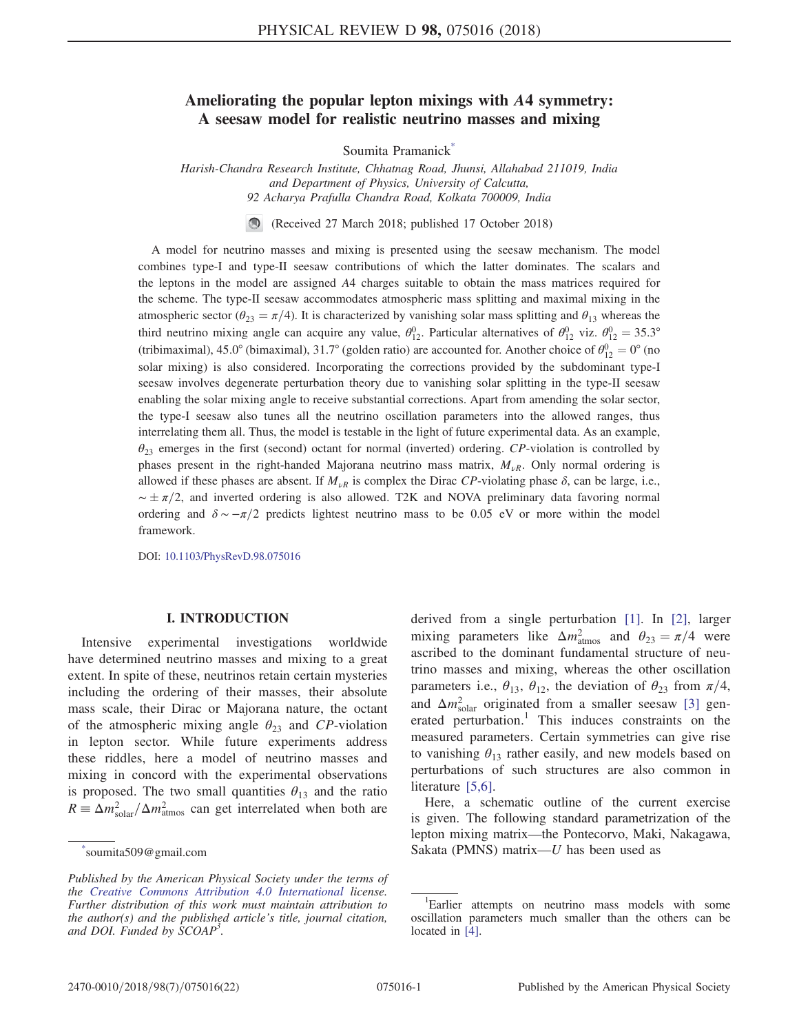# Ameliorating the popular lepton mixings with A4 symmetry: A seesaw model for realistic neutrino masses and mixing

Soumita Pramanick<sup>[\\*](#page-0-0)</sup>

<span id="page-0-1"></span>Harish-Chandra Research Institute, Chhatnag Road, Jhunsi, Allahabad 211019, India and Department of Physics, University of Calcutta, 92 Acharya Prafulla Chandra Road, Kolkata 700009, India

> $\bigcirc$ (Received 27 March 2018; published 17 October 2018)

A model for neutrino masses and mixing is presented using the seesaw mechanism. The model combines type-I and type-II seesaw contributions of which the latter dominates. The scalars and the leptons in the model are assigned A4 charges suitable to obtain the mass matrices required for the scheme. The type-II seesaw accommodates atmospheric mass splitting and maximal mixing in the atmospheric sector ( $\theta_{23} = \pi/4$ ). It is characterized by vanishing solar mass splitting and  $\theta_{13}$  whereas the third neutrino mixing angle can acquire any value,  $\theta_{12}^0$ . Particular alternatives of  $\theta_{12}^0$  viz.  $\theta_{12}^0 = 35.3^\circ$ <br>(ii) in a straight of  $\theta_{12}^0$  viz.  $\theta_{12}^0 = 35.3^\circ$ (tribimaximal), 45.0° (bimaximal), 31.7° (golden ratio) are accounted for. Another choice of  $\theta_{12}^0 = 0$ ° (no<br>select mixing) is also considered. Incorporating the corrections provided by the subdominant type I solar mixing) is also considered. Incorporating the corrections provided by the subdominant type-I seesaw involves degenerate perturbation theory due to vanishing solar splitting in the type-II seesaw enabling the solar mixing angle to receive substantial corrections. Apart from amending the solar sector, the type-I seesaw also tunes all the neutrino oscillation parameters into the allowed ranges, thus interrelating them all. Thus, the model is testable in the light of future experimental data. As an example,  $\theta_{23}$  emerges in the first (second) octant for normal (inverted) ordering. CP-violation is controlled by phases present in the right-handed Majorana neutrino mass matrix,  $M_{\nu R}$ . Only normal ordering is allowed if these phases are absent. If  $M_{\nu R}$  is complex the Dirac CP-violating phase  $\delta$ , can be large, i.e.,  $\sim \pm \pi/2$ , and inverted ordering is also allowed. T2K and NOVA preliminary data favoring normal<br>ordering and  $\delta = \pi/2$  predicts lightest poutring mass to be 0.05 eV or more within the model ordering and  $\delta \sim -\pi/2$  predicts lightest neutrino mass to be 0.05 eV or more within the model framework.

DOI: [10.1103/PhysRevD.98.075016](https://doi.org/10.1103/PhysRevD.98.075016)

### I. INTRODUCTION

Intensive experimental investigations worldwide have determined neutrino masses and mixing to a great extent. In spite of these, neutrinos retain certain mysteries including the ordering of their masses, their absolute mass scale, their Dirac or Majorana nature, the octant of the atmospheric mixing angle  $\theta_{23}$  and CP-violation in lepton sector. While future experiments address these riddles, here a model of neutrino masses and mixing in concord with the experimental observations is proposed. The two small quantities  $\theta_{13}$  and the ratio  $R \equiv \Delta m_{\text{solar}}^2 / \Delta m_{\text{atmos}}^2$  can get interrelated when both are derived from a single perturbation [\[1\]](#page-21-0). In [\[2\],](#page-21-1) larger mixing parameters like  $\Delta m_{\text{atmos}}^2$  and  $\theta_{23} = \pi/4$  were ascribed to the dominant fundamental structure of neutrino masses and mixing, whereas the other oscillation parameters i.e.,  $\theta_{13}$ ,  $\theta_{12}$ , the deviation of  $\theta_{23}$  from  $\pi/4$ , and  $\Delta m_{\text{solar}}^2$  originated from a smaller seesaw [\[3\]](#page-21-2) generated perturbation.<sup>1</sup> This induces constraints on the measured parameters. Certain symmetries can give rise to vanishing  $\theta_{13}$  rather easily, and new models based on perturbations of such structures are also common in literature [\[5,6\]](#page-21-3).

<span id="page-0-2"></span>Here, a schematic outline of the current exercise is given. The following standard parametrization of the lepton mixing matrix—the Pontecorvo, Maki, Nakagawa, Sakata (PMNS) matrix— $U$  has been used as

<span id="page-0-0"></span>soumita509@gmail.com

Published by the American Physical Society under the terms of the [Creative Commons Attribution 4.0 International](https://creativecommons.org/licenses/by/4.0/) license. Further distribution of this work must maintain attribution to the author(s) and the published article's title, journal citation, and DOI. Funded by SCOAP<sup>3</sup>.

<sup>&</sup>lt;sup>1</sup>Earlier attempts on neutrino mass models with some oscillation parameters much smaller than the others can be located in [\[4\]](#page-21-4).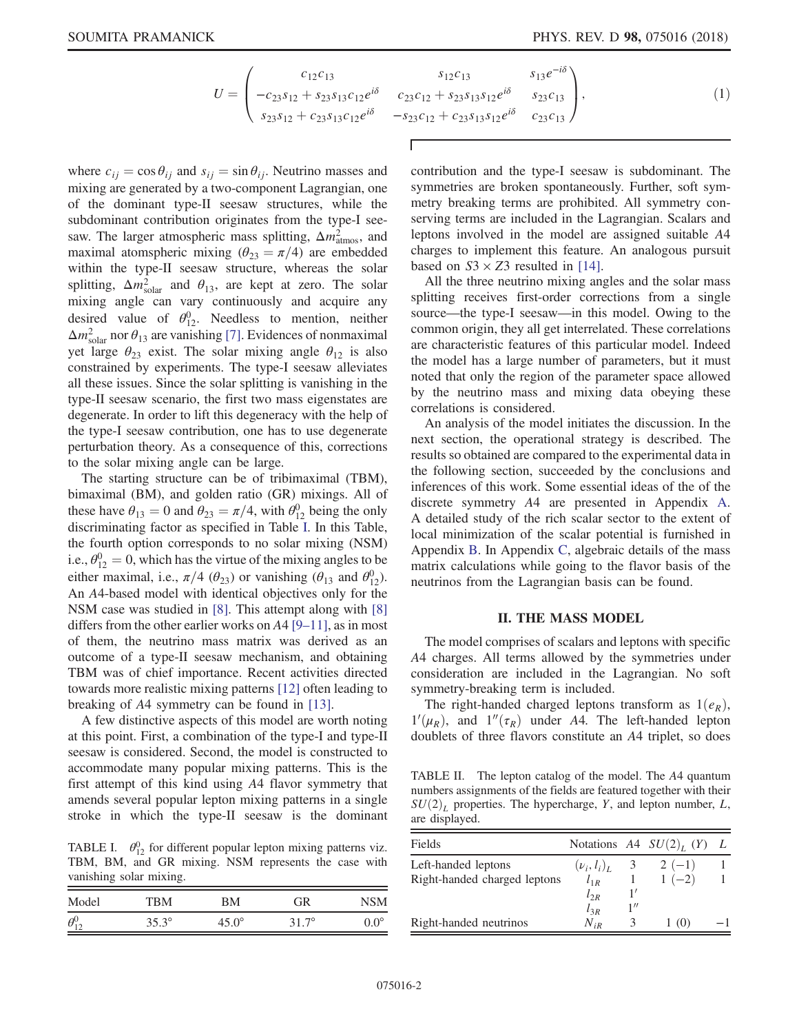$$
U = \begin{pmatrix} c_{12}c_{13} & s_{12}c_{13} & s_{13}e^{-i\delta} \\ -c_{23}s_{12} + s_{23}s_{13}c_{12}e^{i\delta} & c_{23}c_{12} + s_{23}s_{13}s_{12}e^{i\delta} & s_{23}c_{13} \\ s_{23}s_{12} + c_{23}s_{13}c_{12}e^{i\delta} & -s_{23}c_{12} + c_{23}s_{13}s_{12}e^{i\delta} & c_{23}c_{13} \end{pmatrix},
$$
\n(1)

where  $c_{ij} = \cos \theta_{ij}$  and  $s_{ij} = \sin \theta_{ij}$ . Neutrino masses and mixing are generated by a two-component Lagrangian, one of the dominant type-II seesaw structures, while the subdominant contribution originates from the type-I seesaw. The larger atmospheric mass splitting,  $\Delta m_{\text{atmos}}^2$ , and maximal atomspheric mixing  $(\theta_{23} = \pi/4)$  are embedded within the type-II seesaw structure, whereas the solar splitting,  $\Delta m_{\text{solar}}^2$  and  $\theta_{13}$ , are kept at zero. The solar mixing angle can vary continuously and acquire any desired value of  $\theta_{12}^0$ . Needless to mention, neither  $\Delta m_{\text{solar}}^2$  nor  $\theta_{13}$  are vanishing [\[7\].](#page-21-5) Evidences of nonmaximal yet large  $\theta_{23}$  exist. The solar mixing angle  $\theta_{12}$  is also constrained by experiments. The type-I seesaw alleviates all these issues. Since the solar splitting is vanishing in the type-II seesaw scenario, the first two mass eigenstates are degenerate. In order to lift this degeneracy with the help of the type-I seesaw contribution, one has to use degenerate perturbation theory. As a consequence of this, corrections to the solar mixing angle can be large.

The starting structure can be of tribimaximal (TBM), bimaximal (BM), and golden ratio (GR) mixings. All of these have  $\theta_{13} = 0$  and  $\theta_{23} = \pi/4$ , with  $\theta_{12}^0$  being the only discriminating factor as specified in Table I. In this Table discriminating factor as specified in Table [I.](#page-1-0) In this Table, the fourth option corresponds to no solar mixing (NSM) i.e.,  $\theta_{12}^0 = 0$ , which has the virtue of the mixing angles to be either maximal i.e.,  $\pi/(4\theta)$  or vanishing  $(\theta$  and  $\theta^0$ ) either maximal, i.e.,  $\pi/4$  ( $\theta_{23}$ ) or vanishing ( $\theta_{13}$  and  $\theta_{12}^0$ ). An A4-based model with identical objectives only for the NSM case was studied in [\[8\].](#page-21-6) This attempt along with [\[8\]](#page-21-6) differs from the other earlier works on  $A4$  [9–[11\]](#page-21-7), as in most of them, the neutrino mass matrix was derived as an outcome of a type-II seesaw mechanism, and obtaining TBM was of chief importance. Recent activities directed towards more realistic mixing patterns [\[12\]](#page-21-8) often leading to breaking of A4 symmetry can be found in [\[13\].](#page-21-9)

A few distinctive aspects of this model are worth noting at this point. First, a combination of the type-I and type-II seesaw is considered. Second, the model is constructed to accommodate many popular mixing patterns. This is the first attempt of this kind using A4 flavor symmetry that amends several popular lepton mixing patterns in a single stroke in which the type-II seesaw is the dominant

<span id="page-1-0"></span>TABLE I.  $\theta_{12}^0$  for different popular lepton mixing patterns viz. TBM, BM, and GR mixing. NSM represents the case with vanishing solar mixing.

| Model        | TBM          | ВM    | GR           |             |
|--------------|--------------|-------|--------------|-------------|
| $\theta_1^0$ | $35.3^\circ$ | 45.0° | $31.7^\circ$ | $0.0^\circ$ |

contribution and the type-I seesaw is subdominant. The symmetries are broken spontaneously. Further, soft symmetry breaking terms are prohibited. All symmetry conserving terms are included in the Lagrangian. Scalars and leptons involved in the model are assigned suitable A4 charges to implement this feature. An analogous pursuit based on  $S3 \times Z3$  resulted in [\[14\]](#page-21-10).

All the three neutrino mixing angles and the solar mass splitting receives first-order corrections from a single source—the type-I seesaw—in this model. Owing to the common origin, they all get interrelated. These correlations are characteristic features of this particular model. Indeed the model has a large number of parameters, but it must noted that only the region of the parameter space allowed by the neutrino mass and mixing data obeying these correlations is considered.

An analysis of the model initiates the discussion. In the next section, the operational strategy is described. The results so obtained are compared to the experimental data in the following section, succeeded by the conclusions and inferences of this work. Some essential ideas of the of the discrete symmetry A4 are presented in Appendix [A](#page-10-0). A detailed study of the rich scalar sector to the extent of local minimization of the scalar potential is furnished in Appendix [B](#page-11-0). In Appendix [C](#page-19-0), algebraic details of the mass matrix calculations while going to the flavor basis of the neutrinos from the Lagrangian basis can be found.

### II. THE MASS MODEL

The model comprises of scalars and leptons with specific A4 charges. All terms allowed by the symmetries under consideration are included in the Lagrangian. No soft symmetry-breaking term is included.

The right-handed charged leptons transform as  $1(e_R)$ ,  $1'(\mu_R)$ , and  $1''(\tau_R)$  under A4. The left-handed lepton<br>doublets of three flavors constitute an A4 triplet so does doublets of three flavors constitute an A4 triplet, so does

<span id="page-1-1"></span>TABLE II. The lepton catalog of the model. The A4 quantum numbers assignments of the fields are featured together with their  $SU(2)_L$  properties. The hypercharge, Y, and lepton number, L, are displayed.

| Fields                       |                  |                       | Notations $A4 SU(2)L(Y)$ |  |
|------------------------------|------------------|-----------------------|--------------------------|--|
| Left-handed leptons          | $(\nu_i, l_i)_I$ | 3                     | $2(-1)$                  |  |
| Right-handed charged leptons | $l_{1R}$         |                       | $1(-2)$                  |  |
|                              | $l_{2R}$         | $\mathbf{1}^{\prime}$ |                          |  |
|                              | $l_{3R}$         | 1                     |                          |  |
| Right-handed neutrinos       | $N_{iR}$         |                       | 1 (0)                    |  |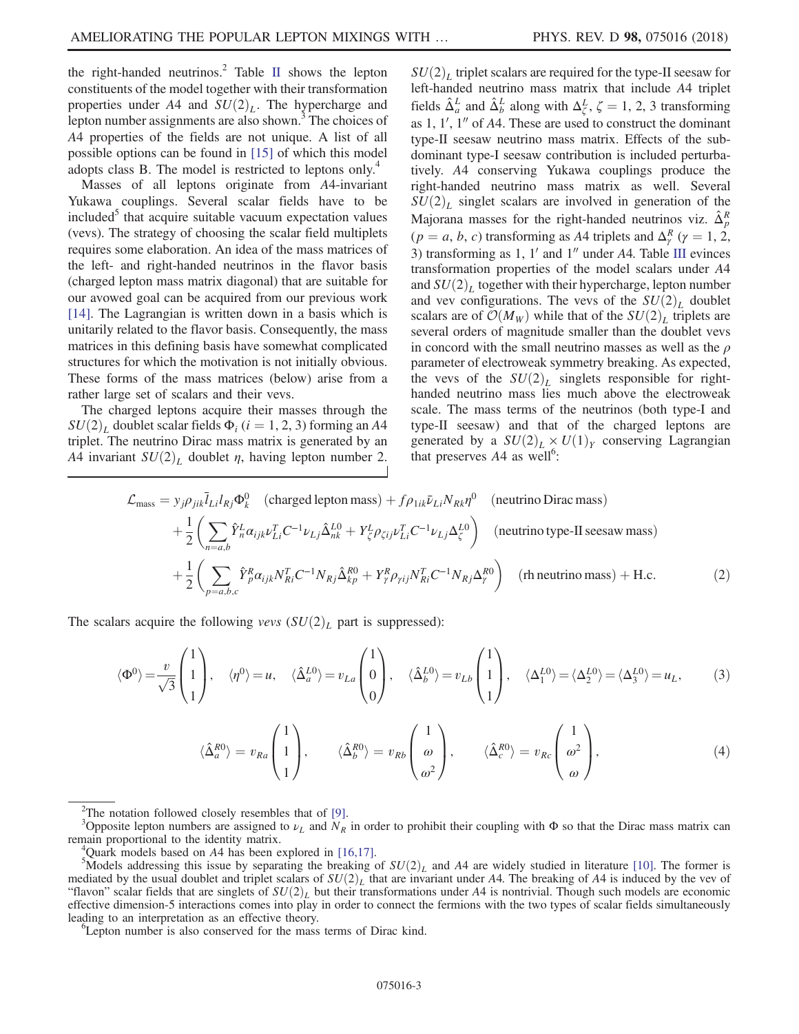the right-handed neutrinos.<sup>2</sup> Table [II](#page-1-1) shows the lepton constituents of the model together with their transformation properties under A4 and  $SU(2)_L$ . The hypercharge and lepton number assignments are also shown.<sup>3</sup> The choices of A4 properties of the fields are not unique. A list of all possible options can be found in [\[15\]](#page-21-11) of which this model adopts class B. The model is restricted to leptons only.<sup>4</sup>

Masses of all leptons originate from A4-invariant Yukawa couplings. Several scalar fields have to be included<sup>3</sup> that acquire suitable vacuum expectation values (vevs). The strategy of choosing the scalar field multiplets requires some elaboration. An idea of the mass matrices of the left- and right-handed neutrinos in the flavor basis (charged lepton mass matrix diagonal) that are suitable for our avowed goal can be acquired from our previous work [\[14\]](#page-21-10). The Lagrangian is written down in a basis which is unitarily related to the flavor basis. Consequently, the mass matrices in this defining basis have somewhat complicated structures for which the motivation is not initially obvious. These forms of the mass matrices (below) arise from a rather large set of scalars and their vevs.

The charged leptons acquire their masses through the  $SU(2)<sub>L</sub>$  doublet scalar fields  $\Phi_i$  (i = 1, 2, 3) forming an A4 triplet. The neutrino Dirac mass matrix is generated by an A4 invariant  $SU(2)<sub>L</sub>$  doublet  $\eta$ , having lepton number 2.  $SU(2)_L$  triplet scalars are required for the type-II seesaw for left-handed neutrino mass matrix that include A4 triplet fields  $\hat{\Delta}^L_a$  and  $\hat{\Delta}^L_b$  along with  $\Delta^L_\zeta$ ,  $\zeta = 1, 2, 3$  transforming<br>as 1, 1', 1'' of 4.4. These are used to construct the dominant as  $1, 1', 1''$  of A4. These are used to construct the dominant type-II seesaw neutrino mass matrix. Effects of the subdominant type-I seesaw contribution is included perturbatively. A4 conserving Yukawa couplings produce the right-handed neutrino mass matrix as well. Several  $SU(2)_L$  singlet scalars are involved in generation of the Majorana masses for the right-handed neutrinos viz.  $\hat{\Delta}_p^R$  $(p = a, b, c)$  transforming as A4 triplets and  $\Delta_{\gamma}^{R}$   $(\gamma = 1, 2, 3)$ <br>3) transforming as 1, 1' and 1'' under A4. Table III evinces 3) transforming as 1,  $1'$  and  $1''$  under A4. Table [III](#page-3-0) evinces transformation properties of the model scalars under A4 and  $SU(2)<sub>L</sub>$  together with their hypercharge, lepton number and vev configurations. The vevs of the  $SU(2)_L$  doublet scalars are of  $\mathcal{O}(M_W)$  while that of the  $SU(2)_L$  triplets are several orders of magnitude smaller than the doublet vevs in concord with the small neutrino masses as well as the  $\rho$ parameter of electroweak symmetry breaking. As expected, the vevs of the  $SU(2)_L$  singlets responsible for righthanded neutrino mass lies much above the electroweak scale. The mass terms of the neutrinos (both type-I and type-II seesaw) and that of the charged leptons are generated by a  $SU(2)_L \times U(1)_Y$  conserving Lagrangian that preserves  $A4$  as well<sup>6</sup>:

<span id="page-2-1"></span>
$$
\mathcal{L}_{\text{mass}} = y_j \rho_{jik} \bar{l}_{Li} l_{Rj} \Phi_k^0 \quad \text{(charged lepton mass)} + f \rho_{1ik} \bar{\nu}_{Li} N_{Rk} \eta^0 \quad \text{(neutrino Dirac mass)}\n+ \frac{1}{2} \left( \sum_{n=a,b} \hat{Y}_n^L \alpha_{ijk} \nu_{Li}^T C^{-1} \nu_{Lj} \hat{\Delta}_{nk}^{L0} + Y_\zeta^L \rho_{\zeta ij} \nu_{Li}^T C^{-1} \nu_{Lj} \Delta_\zeta^{L0} \right) \quad \text{(neutrino type-II seesaw mass)}\n+ \frac{1}{2} \left( \sum_{p=a,b,c} \hat{Y}_p^R \alpha_{ijk} N_{Ri}^T C^{-1} N_{Rj} \hat{\Delta}_{kp}^{R0} + Y_\gamma^R \rho_{\gamma ij} N_{Ri}^T C^{-1} N_{Rj} \Delta_\gamma^{R0} \right) \quad \text{(rh neutrino mass)} + \text{H.c.}
$$
\n(2)

<span id="page-2-0"></span>The scalars acquire the following vevs  $(SU(2)_L)$  part is suppressed):

$$
\langle \Phi^0 \rangle = \frac{v}{\sqrt{3}} \begin{pmatrix} 1 \\ 1 \\ 1 \end{pmatrix}, \quad \langle \eta^0 \rangle = u, \quad \langle \hat{\Delta}_a^{L0} \rangle = v_{La} \begin{pmatrix} 1 \\ 0 \\ 0 \end{pmatrix}, \quad \langle \hat{\Delta}_b^{L0} \rangle = v_{Lb} \begin{pmatrix} 1 \\ 1 \\ 1 \end{pmatrix}, \quad \langle \Delta_1^{L0} \rangle = \langle \Delta_2^{L0} \rangle = \langle \Delta_3^{L0} \rangle = u_L, \tag{3}
$$

$$
\langle \hat{\Delta}_a^{R0} \rangle = v_{Ra} \begin{pmatrix} 1 \\ 1 \\ 1 \end{pmatrix}, \qquad \langle \hat{\Delta}_b^{R0} \rangle = v_{Rb} \begin{pmatrix} 1 \\ \omega \\ \omega^2 \end{pmatrix}, \qquad \langle \hat{\Delta}_c^{R0} \rangle = v_{Rc} \begin{pmatrix} 1 \\ \omega^2 \\ \omega \end{pmatrix}, \tag{4}
$$

<sup>&</sup>lt;sup>2</sup>The notation followed closely resembles that of [\[9\].](#page-21-7)<br><sup>3</sup>Opposite lepton numbers are assigned to  $\nu_L$  and  $N_R$  in order to prohibit their coupling with  $\Phi$  so that the Dirac mass matrix can remain proportional to the identity matrix. <sup>4</sup>

Quark models based on  $A4$  has been explored in [\[16,17\].](#page-21-12)

 ${}^{5}$ Models addressing this issue by separating the breaking of  $SU(2)<sub>L</sub>$  and A4 are widely studied in literature [\[10\].](#page-21-13) The former is mediated by the usual doublet and triplet scalars of  $SU(2)_L$  that are invariant under A4. The breaking of A4 is induced by the vev of "flavon" scalar fields that are singlets of  $SU(2)_L$  but their transformations under A4 is nontrivial. Though such models are economic effective dimension-5 interactions comes into play in order to connect the fermions with the two types of scalar fields simultaneously leading to an interpretation as an effective theory.

Lepton number is also conserved for the mass terms of Dirac kind.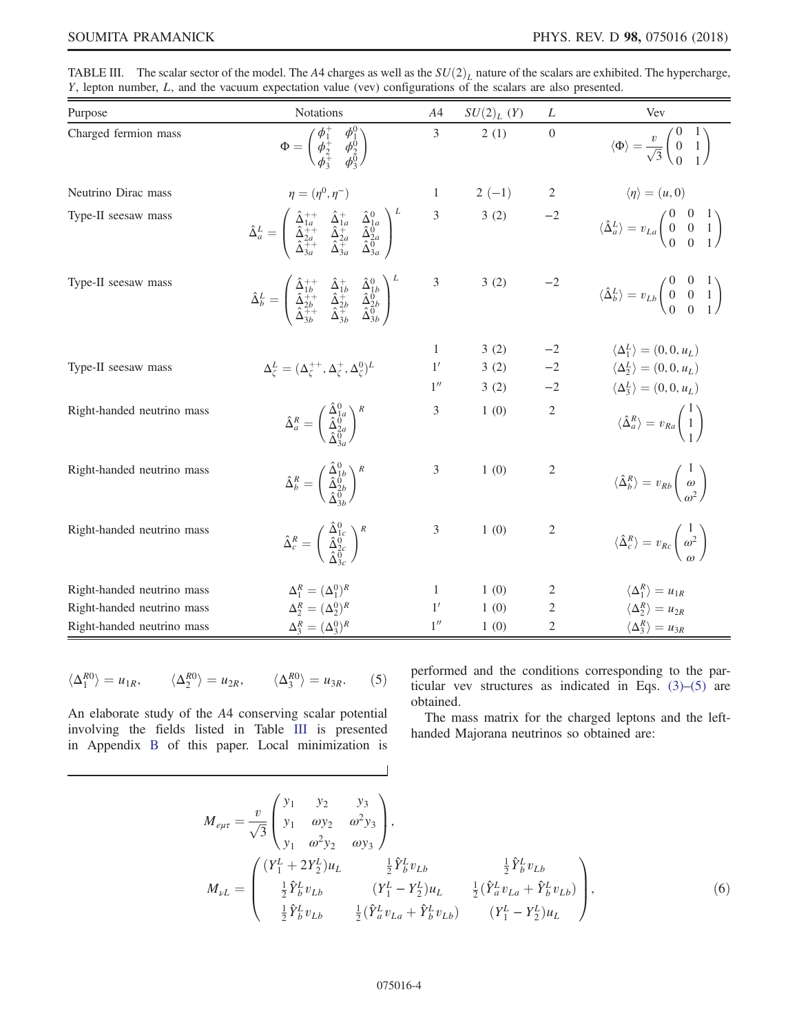| Purpose                    | Notations                                                                                                                                                                                                                                                                                     | A4             | $SU(2)_L(Y)$ | L              | Vev                                                                                                           |
|----------------------------|-----------------------------------------------------------------------------------------------------------------------------------------------------------------------------------------------------------------------------------------------------------------------------------------------|----------------|--------------|----------------|---------------------------------------------------------------------------------------------------------------|
| Charged fermion mass       | $\Phi = \begin{pmatrix} \phi_1^+ & \phi_1^0 \ \phi_2^+ & \phi_2^0 \ \phi_1^+ & \phi_0^0 \end{pmatrix}$                                                                                                                                                                                        | $\overline{3}$ | 2(1)         | $\overline{0}$ | $\langle \Phi \rangle = \frac{v}{\sqrt{3}} \begin{pmatrix} 0 & 1 \\ 0 & 1 \\ 0 & 1 \end{pmatrix}$             |
| Neutrino Dirac mass        | $\eta = (\eta^0, \eta^-)$                                                                                                                                                                                                                                                                     | $\mathbf{1}$   | $2(-1)$      |                | $\langle \eta \rangle = (u, 0)$                                                                               |
| Type-II seesaw mass        | $\hat{\Delta}^L_a = \left( \begin{array}{ccc} \hat{\Delta}^{++}_{1a} & \hat{\Delta}^{+}_{1a} & \hat{\Delta}^0_{1a} \ \hat{\Delta}^{++}_{2a} & \hat{\Delta}^{+-}_{2a} & \hat{\Delta}^0_{2a} \ \hat{\Delta}^{++}_{3a} & \hat{\Delta}^{+-}_{3a} & \hat{\Delta}^0_{3a} \end{array} \right)^L$     | $\overline{3}$ | 3(2)         | $-2$           | $\langle \hat{\Delta}^L_a \rangle = v_{La} \begin{pmatrix} 0 & 0 & 1 \\ 0 & 0 & 1 \\ 0 & 0 & 1 \end{pmatrix}$ |
| Type-II seesaw mass        | $\hat{\Delta}_b^L = \left( \begin{array}{ccc} \hat{\Delta}_{1b}^{++} & \hat{\Delta}_{1b}^{+} & \hat{\Delta}_{1b}^{0} \ \hat{\Delta}_{2b}^{++} & \hat{\Delta}_{2b}^{+} & \hat{\Delta}_{2b}^{0} \ \hat{\Delta}_{2b}^{++} & \hat{\Delta}_{2b}^{+} & \hat{\Delta}_{3b}^{0} \end{array} \right)^L$ | $\sqrt{3}$     | 3(2)         | $-2$           | $\langle \hat{\Delta}_b^L \rangle = v_{Lb} \begin{pmatrix} 0 & 0 & 1 \\ 0 & 0 & 1 \\ 0 & 0 & 1 \end{pmatrix}$ |
|                            |                                                                                                                                                                                                                                                                                               | 1              | 3(2)         |                | $\langle \Delta_1^L \rangle = (0, 0, u_L)$                                                                    |
| Type-II seesaw mass        | $\Delta_\zeta^L = (\Delta_\zeta^{++},\Delta_\zeta^{+},\Delta_\zeta^0)^L$                                                                                                                                                                                                                      | 1'             | 3(2)         | $-2$           | $\langle \Delta_2^L \rangle = (0, 0, u_L)$                                                                    |
|                            |                                                                                                                                                                                                                                                                                               | 1''            | 3(2)         | $-2$           | $\langle \Delta_3^L \rangle = (0,0,u_L)$                                                                      |
| Right-handed neutrino mass | $\hat{\Delta}^R_a = \left(\begin{smallmatrix} \Delta^0_{1a}\ \hat{\Delta}^0_{2a}\ \hat{\Delta}^0_{2a} \end{smallmatrix}\right)^R$                                                                                                                                                             | 3              | 1(0)         | $\overline{2}$ | $\langle \hat{\Delta}_a^R \rangle = v_{Ra} \begin{pmatrix} 1 \\ 1 \end{pmatrix}$                              |
| Right-handed neutrino mass | $\hat{\Delta}_b^R = \left(\begin{smallmatrix} \hat{\Delta}_{1b}^0 \ \hat{\Delta}_{2b}^0 \ \hat{\Delta}_{2b}^0 \end{smallmatrix}\right)^R$                                                                                                                                                     | 3              | 1(0)         | 2              | $\langle \hat{\Delta}_b^R \rangle = v_{Rb} \begin{pmatrix} 1 \\ \omega \\ z^2 \end{pmatrix}$                  |
| Right-handed neutrino mass | $\hat{\Delta}_c^R = \left(\begin{array}{c} \hat{\Delta}_{1c}^0 \ \hat{\Delta}_{2c}^0 \ \hat{\Delta}_{0}^0 \end{array}\right)^R$                                                                                                                                                               | 3              | 1(0)         | 2              | $\langle \hat{\Delta}_c^R \rangle = v_{Rc} \left( \begin{array}{c} 1 \\ \omega^2 \end{array} \right)$         |
| Right-handed neutrino mass | $\Delta_1^R = (\Delta_1^0)^R$                                                                                                                                                                                                                                                                 | 1              | 1(0)         | 2              | $\langle \Delta_1^R \rangle = u_{1R}$                                                                         |
| Right-handed neutrino mass | $\Delta_2^R = (\Delta_2^0)^R$                                                                                                                                                                                                                                                                 | 1'             | 1(0)         | $\overline{c}$ | $\langle \Delta_2^R \rangle = u_{2R}$                                                                         |
| Right-handed neutrino mass | $\Delta_3^R = (\Delta_3^0)^R$                                                                                                                                                                                                                                                                 | 1''            | 1(0)         | 2              | $\langle \Delta_3^R \rangle = u_{3R}$                                                                         |

<span id="page-3-0"></span>TABLE III. The scalar sector of the model. The A4 charges as well as the  $SU(2)_L$  nature of the scalars are exhibited. The hypercharge, Y, lepton number, L, and the vacuum expectation value (vev) configurations of the scalars are also presented.

<span id="page-3-1"></span>
$$
\langle \Delta_1^{R0} \rangle = u_{1R}, \qquad \langle \Delta_2^{R0} \rangle = u_{2R}, \qquad \langle \Delta_3^{R0} \rangle = u_{3R}. \qquad (5)
$$

An elaborate study of the A4 conserving scalar potential involving the fields listed in Table [III](#page-3-0) is presented in Appendix [B](#page-11-0) of this paper. Local minimization is

performed and the conditions corresponding to the particular vev structures as indicated in Eqs. [\(3\)](#page-2-0)–[\(5\)](#page-3-1) are obtained.

<span id="page-3-2"></span>The mass matrix for the charged leptons and the lefthanded Majorana neutrinos so obtained are:

$$
M_{e\mu\tau} = \frac{v}{\sqrt{3}} \begin{pmatrix} y_1 & y_2 & y_3 \\ y_1 & \omega y_2 & \omega^2 y_3 \\ y_1 & \omega^2 y_2 & \omega y_3 \end{pmatrix},
$$
  
\n
$$
M_{\nu L} = \begin{pmatrix} (Y_1^L + 2Y_2^L)u_L & \frac{1}{2}\hat{Y}_b^L v_{Lb} & \frac{1}{2}\hat{Y}_b^L v_{Lb} \\ \frac{1}{2}\hat{Y}_b^L v_{Lb} & (Y_1^L - Y_2^L)u_L & \frac{1}{2}(\hat{Y}_a^L v_{La} + \hat{Y}_b^L v_{Lb}) \\ \frac{1}{2}\hat{Y}_b^L v_{Lb} & \frac{1}{2}(\hat{Y}_a^L v_{La} + \hat{Y}_b^L v_{Lb}) & (Y_1^L - Y_2^L)u_L \end{pmatrix},
$$
\n(6)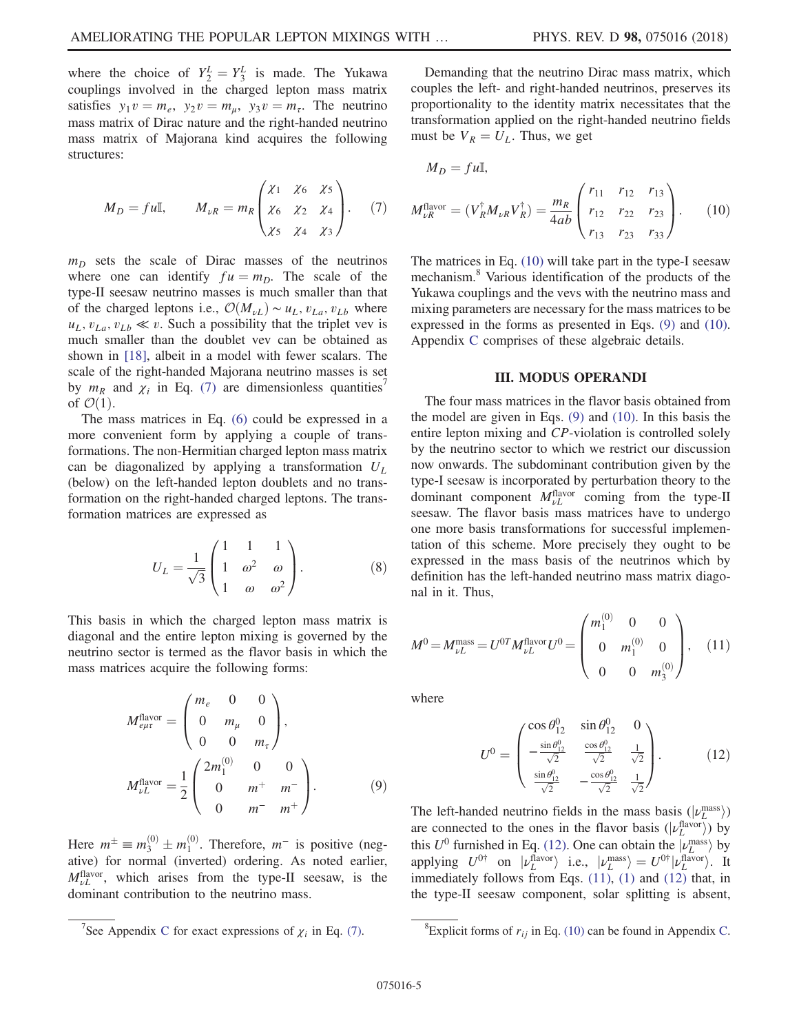where the choice of  $Y_2^L = Y_3^L$  is made. The Yukawa<br>couplings involved in the charged lepton mass matrix couplings involved in the charged lepton mass matrix satisfies  $y_1v = m_e$ ,  $y_2v = m_\mu$ ,  $y_3v = m_\tau$ . The neutrino mass matrix of Dirac nature and the right-handed neutrino mass matrix of Majorana kind acquires the following structures:

<span id="page-4-0"></span>
$$
M_D = fu\mathbb{I}, \qquad M_{\nu R} = m_R \begin{pmatrix} \chi_1 & \chi_6 & \chi_5 \\ \chi_6 & \chi_2 & \chi_4 \\ \chi_5 & \chi_4 & \chi_3 \end{pmatrix} . \tag{7}
$$

 $m_D$  sets the scale of Dirac masses of the neutrinos where one can identify  $fu = m_D$ . The scale of the type-II seesaw neutrino masses is much smaller than that of the charged leptons i.e.,  $\mathcal{O}(M_{\nu}) \sim u_L, v_{La}, v_{Lb}$  where  $u<sub>L</sub>, v<sub>La</sub>, v<sub>Ab</sub> \ll v$ . Such a possibility that the triplet vev is much smaller than the doublet vev can be obtained as shown in [\[18\]](#page-21-14), albeit in a model with fewer scalars. The scale of the right-handed Majorana neutrino masses is set by  $m_R$  and  $\chi_i$  in Eq. [\(7\)](#page-4-0) are dimensionless quantities' of  $\mathcal{O}(1)$ .

<span id="page-4-5"></span>The mass matrices in Eq. [\(6\)](#page-3-2) could be expressed in a more convenient form by applying a couple of transformations. The non-Hermitian charged lepton mass matrix can be diagonalized by applying a transformation  $U_L$ (below) on the left-handed lepton doublets and no transformation on the right-handed charged leptons. The transformation matrices are expressed as

$$
U_L = \frac{1}{\sqrt{3}} \begin{pmatrix} 1 & 1 & 1 \\ 1 & \omega^2 & \omega \\ 1 & \omega & \omega^2 \end{pmatrix} . \tag{8}
$$

<span id="page-4-2"></span>This basis in which the charged lepton mass matrix is diagonal and the entire lepton mixing is governed by the neutrino sector is termed as the flavor basis in which the mass matrices acquire the following forms:

$$
M_{e\mu\tau}^{\text{flavor}} = \begin{pmatrix} m_e & 0 & 0 \\ 0 & m_\mu & 0 \\ 0 & 0 & m_\tau \end{pmatrix},
$$
  

$$
M_{\nu L}^{\text{flavor}} = \frac{1}{2} \begin{pmatrix} 2m_1^{(0)} & 0 & 0 \\ 0 & m^+ & m^- \\ 0 & m^- & m^+ \end{pmatrix}.
$$
 (9)

Here  $m^{\pm} \equiv m_3^{(0)} \pm m_1^{(0)}$ . Therefore,  $m^-$  is positive (neg-There  $m = m_3 \pm m_1$ . Therefore, m is positive (hegative) for normal (inverted) ordering. As noted earlier,  $M_{\nu}^{\text{flavor}}$ , which arises from the type-II seesaw, is the dominant contribution to the neutrino mass.

Demanding that the neutrino Dirac mass matrix, which couples the left- and right-handed neutrinos, preserves its proportionality to the identity matrix necessitates that the transformation applied on the right-handed neutrino fields must be  $V_R = U_L$ . Thus, we get

<span id="page-4-1"></span>
$$
M_D = f u \mathbb{I},
$$
  
\n
$$
M_{\nu R}^{\text{flavor}} = (V_R^{\dagger} M_{\nu R} V_R^{\dagger}) = \frac{m_R}{4ab} \begin{pmatrix} r_{11} & r_{12} & r_{13} \\ r_{12} & r_{22} & r_{23} \\ r_{13} & r_{23} & r_{33} \end{pmatrix}.
$$
 (10)

The matrices in Eq. [\(10\)](#page-4-1) will take part in the type-I seesaw mechanism.<sup>8</sup> Various identification of the products of the Yukawa couplings and the vevs with the neutrino mass and mixing parameters are necessary for the mass matrices to be expressed in the forms as presented in Eqs. [\(9\)](#page-4-2) and [\(10\)](#page-4-1). Appendix [C](#page-19-0) comprises of these algebraic details.

#### III. MODUS OPERANDI

The four mass matrices in the flavor basis obtained from the model are given in Eqs. [\(9\)](#page-4-2) and [\(10\).](#page-4-1) In this basis the entire lepton mixing and CP-violation is controlled solely by the neutrino sector to which we restrict our discussion now onwards. The subdominant contribution given by the type-I seesaw is incorporated by perturbation theory to the dominant component  $M_{\nu}^{\text{flavor}}$  coming from the type-II seesaw. The flavor basis mass matrices have to undergo one more basis transformations for successful implementation of this scheme. More precisely they ought to be expressed in the mass basis of the neutrinos which by definition has the left-handed neutrino mass matrix diagonal in it. Thus,

<span id="page-4-4"></span>
$$
M^{0} = M_{\nu L}^{\text{mass}} = U^{0T} M_{\nu L}^{\text{flavor}} U^{0} = \begin{pmatrix} m_{1}^{(0)} & 0 & 0 \\ 0 & m_{1}^{(0)} & 0 \\ 0 & 0 & m_{3}^{(0)} \end{pmatrix}, \quad (11)
$$

<span id="page-4-3"></span>where

$$
U^{0} = \begin{pmatrix} \cos \theta_{12}^{0} & \sin \theta_{12}^{0} & 0\\ -\frac{\sin \theta_{12}^{0}}{\sqrt{2}} & \frac{\cos \theta_{12}^{0}}{\sqrt{2}} & \frac{1}{\sqrt{2}}\\ \frac{\sin \theta_{12}^{0}}{\sqrt{2}} & -\frac{\cos \theta_{12}^{0}}{\sqrt{2}} & \frac{1}{\sqrt{2}} \end{pmatrix}.
$$
 (12)

The left-handed neutrino fields in the mass basis  $(|v_L^{\text{mass}}|)$ <br>are connected to the ones in the flavor basis  $(|v_L^{\text{flavor}}|)$  by are connected to the ones in the flavor basis  $(|v_L^{\text{flavor}}\rangle)$  by<br>this  $U^0$  furnished in Eq. (12). One can obtain the  $|x_l^{\text{mass}}\rangle$  by this  $U^0$  furnished in Eq. [\(12\)](#page-4-3). One can obtain the  $|\nu_L^{\text{mass}}\rangle$  by<br>applying  $U^{0\dagger}$  on  $|\nu_L^{\text{flavor}}\rangle$  i.e.  $|\nu_R^{\text{mass}}\rangle = U^{0\dagger}|\nu_L^{\text{flavor}}\rangle$  It applying  $U^{0\dagger}$  on  $|\nu_L^{\text{flavor}}\rangle$  i.e.,  $|\nu_L^{\text{mass}}\rangle = U^{0\dagger}|\nu_L^{\text{flavor}}\rangle$ . It immediately follows from Eqs. (11) (1) and (12) that in immediately follows from Eqs. [\(11\)](#page-4-4), [\(1\)](#page-0-2) and [\(12\)](#page-4-3) that, in the type-II seesaw component, solar splitting is absent,

<sup>&</sup>lt;sup>7</sup>See Appendix [C](#page-19-0) for exact expressions of  $\chi_i$  in Eq. [\(7\)](#page-4-0). <sup>8</sup>

<sup>&</sup>lt;sup>8</sup>Explicit forms of  $r_{ij}$  in Eq. [\(10\)](#page-4-1) can be found in Appendix [C.](#page-19-0)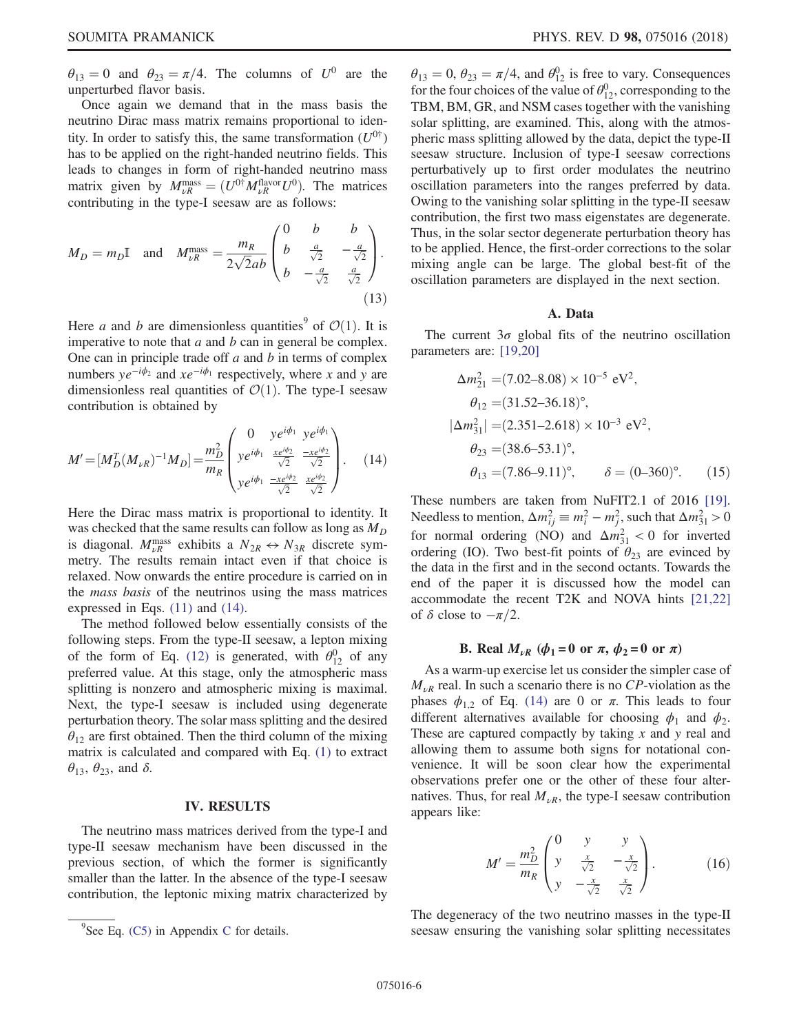$\theta_{13} = 0$  and  $\theta_{23} = \pi/4$ . The columns of  $U^0$  are the unperturbed flavor basis.

Once again we demand that in the mass basis the neutrino Dirac mass matrix remains proportional to identity. In order to satisfy this, the same transformation  $(U^{0\dagger})$ has to be applied on the right-handed neutrino fields. This leads to changes in form of right-handed neutrino mass matrix given by  $M_{\nu R}^{\text{mass}} = (U^{0\dagger} M_{\nu R}^{\text{flavor}} U^{0})$ . The matrices contributing in the type-I seesaw are as follows: contributing in the type-I seesaw are as follows:

$$
M_D = m_D \mathbb{I} \quad \text{and} \quad M_{\nu R}^{\text{mass}} = \frac{m_R}{2\sqrt{2}ab} \begin{pmatrix} 0 & b & b \\ b & \frac{a}{\sqrt{2}} & -\frac{a}{\sqrt{2}} \\ b & -\frac{a}{\sqrt{2}} & \frac{a}{\sqrt{2}} \end{pmatrix} . \tag{13}
$$

Here a and b are dimensionless quantities<sup>9</sup> of  $\mathcal{O}(1)$ . It is imperative to note that  $a$  and  $b$  can in general be complex. One can in principle trade off  $a$  and  $b$  in terms of complex numbers  $ye^{-i\phi_2}$  and  $xe^{-i\phi_1}$  respectively, where x and y are dimensionless real quantities of  $\mathcal{O}(1)$ . The type-I seesaw contribution is obtained by

<span id="page-5-0"></span>
$$
M' = [M_D^T (M_{\nu R})^{-1} M_D] = \frac{m_D^2}{m_R} \begin{pmatrix} 0 & y e^{i\phi_1} & y e^{i\phi_1} \\ y e^{i\phi_1} & \frac{x e^{i\phi_2}}{\sqrt{2}} & \frac{-x e^{i\phi_2}}{\sqrt{2}} \\ y e^{i\phi_1} & \frac{-x e^{i\phi_2}}{\sqrt{2}} & \frac{x e^{i\phi_2}}{\sqrt{2}} \end{pmatrix}.
$$
 (14)

Here the Dirac mass matrix is proportional to identity. It was checked that the same results can follow as long as  $M_D$ is diagonal.  $M_{\nu R}^{\text{mass}}$  exhibits a  $N_{2R} \leftrightarrow N_{3R}$  discrete symmetry. The results remain intact even if that choice is relaxed. Now onwards the entire procedure is carried on in the mass basis of the neutrinos using the mass matrices expressed in Eqs. [\(11\)](#page-4-4) and [\(14\)](#page-5-0).

The method followed below essentially consists of the following steps. From the type-II seesaw, a lepton mixing of the form of Eq. [\(12\)](#page-4-3) is generated, with  $\theta_{12}^0$  of any preferred value. At this stage, only the atmospheric mass splitting is nonzero and atmospheric mixing is maximal. Next, the type-I seesaw is included using degenerate perturbation theory. The solar mass splitting and the desired  $\theta_{12}$  are first obtained. Then the third column of the mixing matrix is calculated and compared with Eq. [\(1\)](#page-0-2) to extract  $\theta_{13}$ ,  $\theta_{23}$ , and  $\delta$ .

#### IV. RESULTS

The neutrino mass matrices derived from the type-I and type-II seesaw mechanism have been discussed in the previous section, of which the former is significantly smaller than the latter. In the absence of the type-I seesaw contribution, the leptonic mixing matrix characterized by

 $\theta_{13} = 0$ ,  $\theta_{23} = \pi/4$ , and  $\theta_{12}^{0}$  is free to vary. Consequences<br>for the four choices of the value of  $\theta_{12}^{0}$  corresponding to the for the four choices of the value of  $\theta_{12}^0$ , corresponding to the TBM, BM, GR, and NSM cases together with the vanishing solar splitting, are examined. This, along with the atmospheric mass splitting allowed by the data, depict the type-II seesaw structure. Inclusion of type-I seesaw corrections perturbatively up to first order modulates the neutrino oscillation parameters into the ranges preferred by data. Owing to the vanishing solar splitting in the type-II seesaw contribution, the first two mass eigenstates are degenerate. Thus, in the solar sector degenerate perturbation theory has to be applied. Hence, the first-order corrections to the solar mixing angle can be large. The global best-fit of the oscillation parameters are displayed in the next section.

#### A. Data

<span id="page-5-2"></span><span id="page-5-1"></span>The current  $3\sigma$  global fits of the neutrino oscillation parameters are: [\[19,20\]](#page-21-15)

$$
\Delta m_{21}^2 = (7.02 - 8.08) \times 10^{-5} \text{ eV}^2,
$$
  
\n
$$
\theta_{12} = (31.52 - 36.18)^\circ,
$$
  
\n
$$
|\Delta m_{31}^2| = (2.351 - 2.618) \times 10^{-3} \text{ eV}^2,
$$
  
\n
$$
\theta_{23} = (38.6 - 53.1)^\circ,
$$
  
\n
$$
\theta_{13} = (7.86 - 9.11)^\circ, \qquad \delta = (0 - 360)^\circ.
$$
 (15)

These numbers are taken from NuFIT2.1 of 2016 [\[19\]](#page-21-15). Needless to mention,  $\Delta m_{ij}^2 \equiv m_i^2 - m_j^2$ , such that  $\Delta m_{31}^2 > 0$ for normal ordering (NO) and  $\Delta m_{31}^2 < 0$  for inverted ordering (IO). Two best-fit points of  $\theta_{23}$  are evinced by the data in the first and in the second octants. Towards the end of the paper it is discussed how the model can accommodate the recent T2K and NOVA hints [\[21,22\]](#page-21-16) of  $\delta$  close to  $-\pi/2$ .

## B. Real  $M_{\nu R}$  ( $\phi_1 = 0$  or  $\pi$ ,  $\phi_2 = 0$  or  $\pi$ )

As a warm-up exercise let us consider the simpler case of  $M_{\nu R}$  real. In such a scenario there is no CP-violation as the phases  $\phi_{1,2}$  of Eq. [\(14\)](#page-5-0) are 0 or  $\pi$ . This leads to four different alternatives available for choosing  $\phi_1$  and  $\phi_2$ . These are captured compactly by taking  $x$  and  $y$  real and allowing them to assume both signs for notational convenience. It will be soon clear how the experimental observations prefer one or the other of these four alternatives. Thus, for real  $M_{\nu R}$ , the type-I seesaw contribution appears like:

$$
M' = \frac{m_D^2}{m_R} \begin{pmatrix} 0 & y & y \\ y & \frac{x}{\sqrt{2}} & -\frac{x}{\sqrt{2}} \\ y & -\frac{x}{\sqrt{2}} & \frac{x}{\sqrt{2}} \end{pmatrix}.
$$
 (16)

The degeneracy of the two neutrino masses in the type-II seesaw ensuring the vanishing solar splitting necessitates

 $9$ See Eq. [\(C5\)](#page-20-0) in Appendix [C](#page-19-0) for details.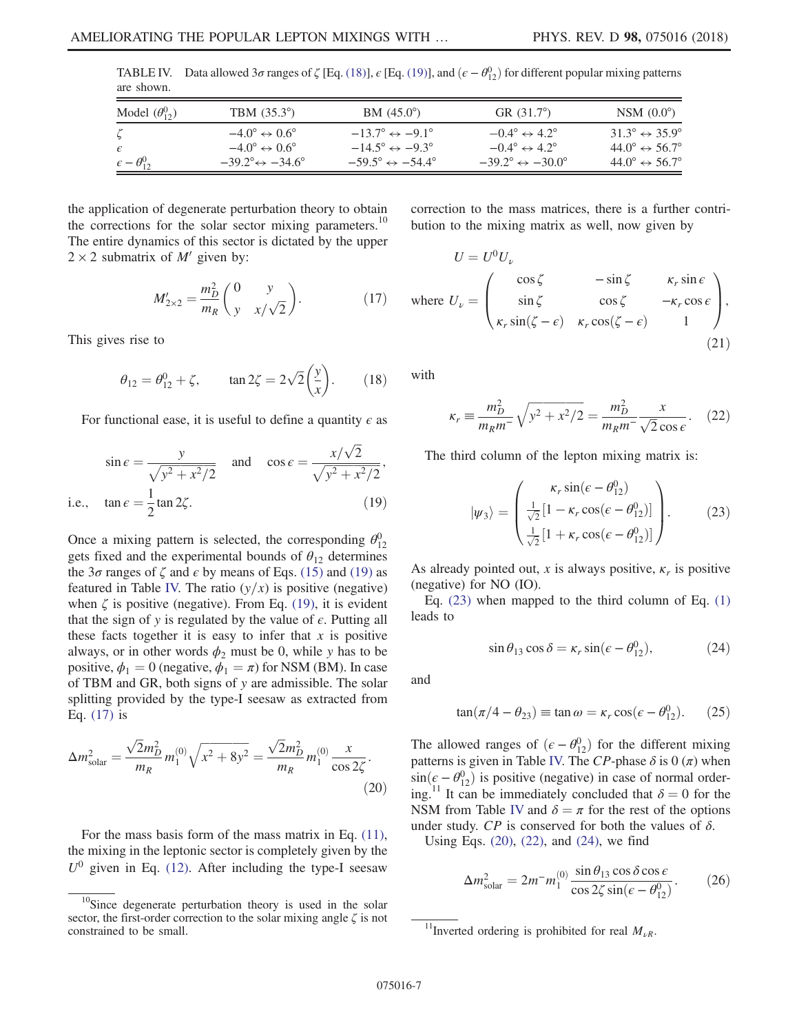| are shown.                    |                                               |                                               |                                               |                                         |  |  |  |
|-------------------------------|-----------------------------------------------|-----------------------------------------------|-----------------------------------------------|-----------------------------------------|--|--|--|
| Model $(\theta_{12}^0)$       | TBM $(35.3^{\circ})$                          | $BM (45.0^{\circ})$                           | GR $(31.7^{\circ})$                           | NSM $(0.0^{\circ})$                     |  |  |  |
|                               | $-4.0^{\circ} \leftrightarrow 0.6^{\circ}$    | $-13.7^\circ \leftrightarrow -9.1^\circ$      | $-0.4^{\circ} \leftrightarrow 4.2^{\circ}$    | $31.3^\circ \leftrightarrow 35.9^\circ$ |  |  |  |
| $\epsilon$                    | $-4.0^{\circ} \leftrightarrow 0.6^{\circ}$    | $-14.5^{\circ} \leftrightarrow -9.3^{\circ}$  | $-0.4^{\circ} \leftrightarrow 4.2^{\circ}$    | $44.0^\circ \leftrightarrow 56.7^\circ$ |  |  |  |
| $\varepsilon - \theta_{12}^0$ | $-39.2^{\circ} \leftrightarrow -34.6^{\circ}$ | $-59.5^{\circ} \leftrightarrow -54.4^{\circ}$ | $-39.2^{\circ} \leftrightarrow -30.0^{\circ}$ | $44.0^\circ \leftrightarrow 56.7^\circ$ |  |  |  |

<span id="page-6-1"></span>TABLE IV. Data allowed  $3\sigma$  ranges of  $\zeta$  [Eq. [\(18\)\]](#page-6-7),  $\epsilon$  [Eq. [\(19\)\]](#page-6-0), and  $(\epsilon - \theta_{12}^0)$  for different popular mixing patterns are shown.

<span id="page-6-2"></span>the application of degenerate perturbation theory to obtain the corrections for the solar sector mixing parameters.<sup>10</sup> The entire dynamics of this sector is dictated by the upper  $2 \times 2$  submatrix of M' given by:

$$
M'_{2 \times 2} = \frac{m_D^2}{m_R} \binom{0 \quad y}{y \quad x/\sqrt{2}}.
$$
 (17)

<span id="page-6-7"></span>This gives rise to

$$
\theta_{12} = \theta_{12}^0 + \zeta
$$
,  $\tan 2\zeta = 2\sqrt{2}\left(\frac{y}{x}\right)$ . (18)

<span id="page-6-0"></span>For functional ease, it is useful to define a quantity  $\epsilon$  as

$$
\sin \epsilon = \frac{y}{\sqrt{y^2 + x^2/2}} \quad \text{and} \quad \cos \epsilon = \frac{x/\sqrt{2}}{\sqrt{y^2 + x^2/2}},
$$
  
i.e.,  $\tan \epsilon = \frac{1}{2} \tan 2\zeta.$  (19)

Once a mixing pattern is selected, the corresponding  $\theta_{12}^0$ gets fixed and the experimental bounds of  $\theta_{12}$  determines the  $3\sigma$  ranges of  $\zeta$  and  $\epsilon$  by means of Eqs. [\(15\)](#page-5-1) and [\(19\)](#page-6-0) as featured in Table [IV.](#page-6-1) The ratio  $(y/x)$  is positive (negative) when  $\zeta$  is positive (negative). From Eq. [\(19\)](#page-6-0), it is evident that the sign of y is regulated by the value of  $\epsilon$ . Putting all these facts together it is easy to infer that  $x$  is positive always, or in other words  $\phi_2$  must be 0, while y has to be positive,  $\phi_1 = 0$  (negative,  $\phi_1 = \pi$ ) for NSM (BM). In case of TBM and GR, both signs of y are admissible. The solar splitting provided by the type-I seesaw as extracted from Eq. [\(17\)](#page-6-2) is

<span id="page-6-4"></span>
$$
\Delta m_{\text{solar}}^2 = \frac{\sqrt{2}m_D^2}{m_R} m_1^{(0)} \sqrt{x^2 + 8y^2} = \frac{\sqrt{2}m_D^2}{m_R} m_1^{(0)} \frac{x}{\cos 2\zeta}.
$$
\n(20)

For the mass basis form of the mass matrix in Eq. [\(11\)](#page-4-4), the mixing in the leptonic sector is completely given by the  $U^0$  given in Eq. [\(12\)](#page-4-3). After including the type-I seesaw correction to the mass matrices, there is a further contribution to the mixing matrix as well, now given by

$$
U = U^{0}U_{\nu}
$$
  
where  $U_{\nu} = \begin{pmatrix} \cos \zeta & -\sin \zeta & \kappa_{r} \sin \epsilon \\ \sin \zeta & \cos \zeta & -\kappa_{r} \cos \epsilon \\ \kappa_{r} \sin(\zeta - \epsilon) & \kappa_{r} \cos(\zeta - \epsilon) & 1 \end{pmatrix}$ , (21)

<span id="page-6-5"></span>with

$$
\kappa_r \equiv \frac{m_D^2}{m_R m^-} \sqrt{y^2 + x^2/2} = \frac{m_D^2}{m_R m^-} \frac{x}{\sqrt{2} \cos \epsilon}.
$$
 (22)

<span id="page-6-3"></span>The third column of the lepton mixing matrix is:

$$
|\psi_3\rangle = \begin{pmatrix} \kappa_r \sin(\epsilon - \theta_{12}^0) \\ \frac{1}{\sqrt{2}} [1 - \kappa_r \cos(\epsilon - \theta_{12}^0)] \\ \frac{1}{\sqrt{2}} [1 + \kappa_r \cos(\epsilon - \theta_{12}^0)] \end{pmatrix} .
$$
 (23)

As already pointed out, x is always positive,  $\kappa_r$  is positive (negative) for NO (IO).

<span id="page-6-6"></span>Eq. [\(23\)](#page-6-3) when mapped to the third column of Eq. [\(1\)](#page-0-2) leads to

$$
\sin \theta_{13} \cos \delta = \kappa_r \sin(\epsilon - \theta_{12}^0),\tag{24}
$$

<span id="page-6-9"></span>and

$$
\tan(\pi/4 - \theta_{23}) \equiv \tan \omega = \kappa_r \cos(\epsilon - \theta_{12}^0). \tag{25}
$$

The allowed ranges of  $(\epsilon - \theta_{12}^0)$  for the different mixing<br>patterns is given in Table IV. The CP-phase  $\delta$  is 0 (π) when patterns is given in Table [IV.](#page-6-1) The CP-phase  $\delta$  is 0 ( $\pi$ ) when  $\sin(\epsilon - \theta_{12}^0)$  is positive (negative) in case of normal order-<br>ing <sup>11</sup> It can be immediately concluded that  $\delta = 0$  for the ing.<sup>11</sup> It can be immediately concluded that  $\delta = 0$  for the NSM from Table [IV](#page-6-1) and  $\delta = \pi$  for the rest of the options under study.  $\mathbb{CP}$  is conserved for both the values of  $\delta$ .

<span id="page-6-8"></span>Using Eqs. [\(20\)](#page-6-4), [\(22\),](#page-6-5) and [\(24\)](#page-6-6), we find

$$
\Delta m_{\text{solar}}^2 = 2m^- m_1^{(0)} \frac{\sin \theta_{13} \cos \delta \cos \epsilon}{\cos 2\zeta \sin(\epsilon - \theta_{12}^0)}.
$$
 (26)

 $10$ Since degenerate perturbation theory is used in the solar sector, the first-order correction to the solar mixing angle  $\zeta$  is not constrained to be small.  $\frac{11}{100}$  is prohibited for real  $M_{\nu R}$ .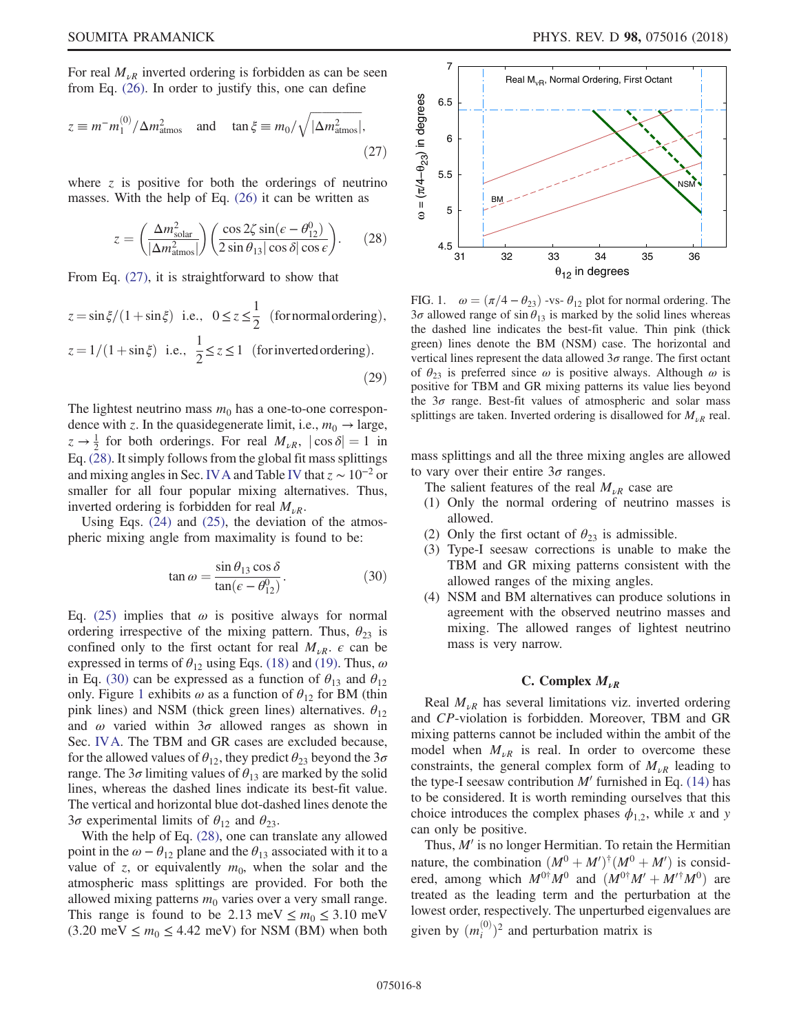<span id="page-7-0"></span>For real  $M_{\nu R}$  inverted ordering is forbidden as can be seen from Eq. [\(26\).](#page-6-8) In order to justify this, one can define

$$
z \equiv m^{-} m_1^{(0)} / \Delta m_{\text{atmos}}^2 \quad \text{and} \quad \tan \xi \equiv m_0 / \sqrt{|\Delta m_{\text{atmos}}^2|},\tag{27}
$$

<span id="page-7-1"></span>where  $\zeta$  is positive for both the orderings of neutrino masses. With the help of Eq. [\(26\)](#page-6-8) it can be written as

$$
z = \left(\frac{\Delta m_{\text{solar}}^2}{|\Delta m_{\text{atmos}}^2|}\right) \left(\frac{\cos 2\zeta \sin(\epsilon - \theta_{12}^0)}{2 \sin \theta_{13} |\cos \delta| \cos \epsilon}\right). \tag{28}
$$

From Eq. [\(27\)](#page-7-0), it is straightforward to show that

$$
z = \sin \xi / (1 + \sin \xi) \text{ i.e., } 0 \le z \le \frac{1}{2} \text{ (for normal ordering)},
$$
  

$$
z = 1/(1 + \sin \xi) \text{ i.e., } \frac{1}{2} \le z \le 1 \text{ (for inverted ordering)}.
$$
  
(29)

The lightest neutrino mass  $m_0$  has a one-to-one correspondence with z. In the quasidegenerate limit, i.e.,  $m_0 \rightarrow \text{large}$ ,  $z \rightarrow \frac{1}{2}$  for both orderings. For real  $M_{\nu R}$ ,  $|\cos \delta| = 1$  in <br>Eq. (28) It simply follows from the global fit mass splittings Eq. [\(28\)](#page-7-1). It simply follows from the global fit mass splittings and mixing angles in Sec. [IVA](#page-5-2) and Table [IV](#page-6-1) that  $z \sim 10^{-2}$  or smaller for all four popular mixing alternatives. Thus, inverted ordering is forbidden for real  $M_{\nu R}$ .

<span id="page-7-2"></span>Using Eqs. [\(24\)](#page-6-6) and [\(25\)](#page-6-9), the deviation of the atmospheric mixing angle from maximality is found to be:

$$
\tan \omega = \frac{\sin \theta_{13} \cos \delta}{\tan (\epsilon - \theta_{12}^0)}.
$$
 (30)

Eq. [\(25\)](#page-6-9) implies that  $\omega$  is positive always for normal ordering irrespective of the mixing pattern. Thus,  $\theta_{23}$  is confined only to the first octant for real  $M_{\nu R}$ .  $\epsilon$  can be expressed in terms of  $\theta_{12}$  using Eqs. [\(18\)](#page-6-7) and [\(19\).](#page-6-0) Thus,  $\omega$ in Eq. [\(30\)](#page-7-2) can be expressed as a function of  $\theta_{13}$  and  $\theta_{12}$ only. Figure [1](#page-7-3) exhibits  $\omega$  as a function of  $\theta_{12}$  for BM (thin pink lines) and NSM (thick green lines) alternatives.  $\theta_{12}$ and  $\omega$  varied within  $3\sigma$  allowed ranges as shown in Sec. [IVA](#page-5-2). The TBM and GR cases are excluded because, for the allowed values of  $\theta_{12}$ , they predict  $\theta_{23}$  beyond the  $3\sigma$ range. The  $3\sigma$  limiting values of  $\theta_{13}$  are marked by the solid lines, whereas the dashed lines indicate its best-fit value. The vertical and horizontal blue dot-dashed lines denote the 3σ experimental limits of  $\theta_{12}$  and  $\theta_{23}$ .

With the help of Eq. [\(28\),](#page-7-1) one can translate any allowed point in the  $\omega - \theta_{12}$  plane and the  $\theta_{13}$  associated with it to a value of z, or equivalently  $m_0$ , when the solar and the atmospheric mass splittings are provided. For both the allowed mixing patterns  $m_0$  varies over a very small range. This range is found to be 2.13 meV  $\leq m_0 \leq 3.10$  meV  $(3.20 \text{ meV} \le m_0 \le 4.42 \text{ meV})$  for NSM (BM) when both

<span id="page-7-3"></span>

FIG. 1.  $\omega = (\pi/4 - \theta_{23})$  -vs-  $\theta_{12}$  plot for normal ordering. The  $3\sigma$  allowed range of sin $\theta_{13}$  is marked by the solid lines whereas the dashed line indicates the best-fit value. Thin pink (thick green) lines denote the BM (NSM) case. The horizontal and vertical lines represent the data allowed  $3\sigma$  range. The first octant of  $\theta_{23}$  is preferred since  $\omega$  is positive always. Although  $\omega$  is positive for TBM and GR mixing patterns its value lies beyond the  $3\sigma$  range. Best-fit values of atmospheric and solar mass splittings are taken. Inverted ordering is disallowed for  $M_{\nu R}$  real.

mass splittings and all the three mixing angles are allowed to vary over their entire  $3\sigma$  ranges.

The salient features of the real  $M_{\nu R}$  case are

- (1) Only the normal ordering of neutrino masses is allowed.
- (2) Only the first octant of  $\theta_{23}$  is admissible.
- (3) Type-I seesaw corrections is unable to make the TBM and GR mixing patterns consistent with the allowed ranges of the mixing angles.
- (4) NSM and BM alternatives can produce solutions in agreement with the observed neutrino masses and mixing. The allowed ranges of lightest neutrino mass is very narrow.

#### C. Complex  $M_{\nu R}$

Real  $M_{\nu R}$  has several limitations viz. inverted ordering and CP-violation is forbidden. Moreover, TBM and GR mixing patterns cannot be included within the ambit of the model when  $M_{\nu R}$  is real. In order to overcome these constraints, the general complex form of  $M_{\nu R}$  leading to the type-I seesaw contribution  $M'$  furnished in Eq. [\(14\)](#page-5-0) has to be considered. It is worth reminding ourselves that this choice introduces the complex phases  $\phi_{1,2}$ , while x and y can only be positive.

<span id="page-7-4"></span>Thus,  $M'$  is no longer Hermitian. To retain the Hermitian nature, the combination  $(M^0 + M')^{\dagger} (M^0 + M')$  is considered among which  $M^{0\dagger} M^0$  and  $(M^{0\dagger} M' + M'^{\dagger} M^0)$  are ered, among which  $M^{0\dagger}M^0$  and  $(M^{0\dagger}M' + M'^{\dagger}M^0)$  are treated as the leading term and the perturbation at the lowest order, respectively. The unperturbed eigenvalues are given by  $(m_i^{(0)})^2$  and perturbation matrix is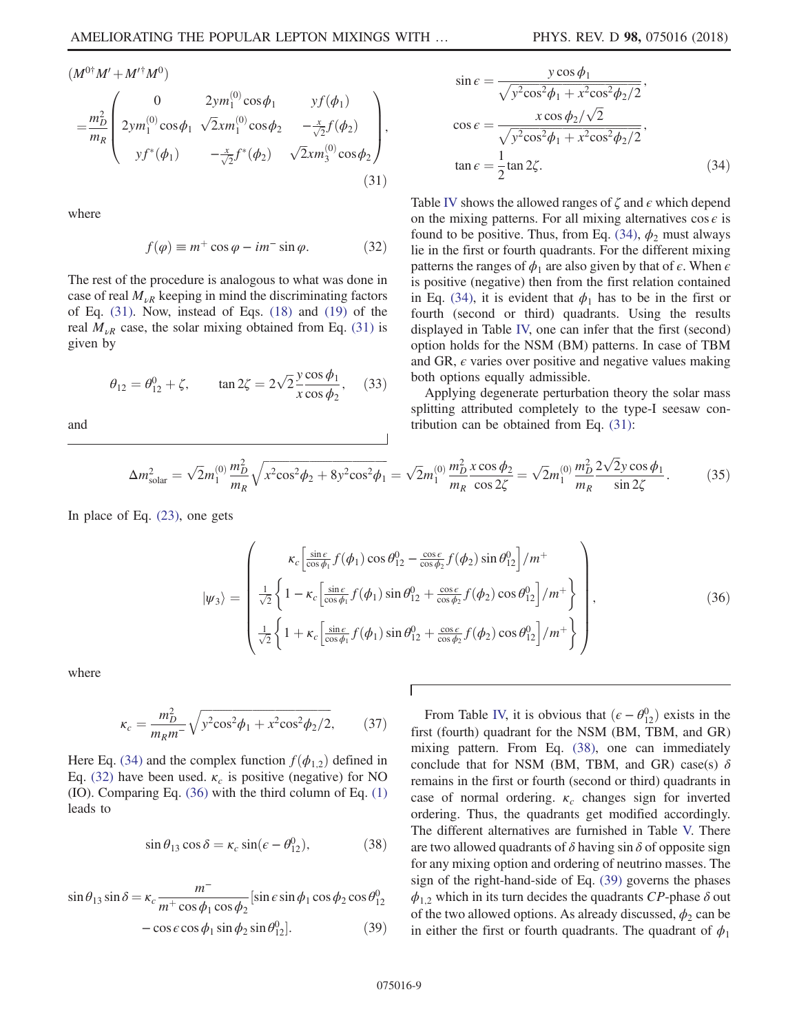$$
(M^{0\dagger}M' + M'^{\dagger}M^{0})
$$
\n
$$
= \frac{m_{D}^{2}}{m_{R}} \begin{pmatrix}\n0 & 2ym_{1}^{(0)}\cos\phi_{1} & yf(\phi_{1}) \\
2ym_{1}^{(0)}\cos\phi_{1} & \sqrt{2}xm_{1}^{(0)}\cos\phi_{2} & -\frac{x}{\sqrt{2}}f(\phi_{2}) \\
yf^{*}(\phi_{1}) & -\frac{x}{\sqrt{2}}f^{*}(\phi_{2}) & \sqrt{2}xm_{3}^{(0)}\cos\phi_{2}\n\end{pmatrix},
$$
\n(31)

<span id="page-8-1"></span>where

$$
f(\varphi) \equiv m^+ \cos \varphi - im^- \sin \varphi. \tag{32}
$$

The rest of the procedure is analogous to what was done in case of real  $M_{\nu R}$  keeping in mind the discriminating factors of Eq. [\(31\).](#page-7-4) Now, instead of Eqs. [\(18\)](#page-6-7) and [\(19\)](#page-6-0) of the real  $M_{\nu R}$  case, the solar mixing obtained from Eq. [\(31\)](#page-7-4) is given by

$$
\theta_{12} = \theta_{12}^0 + \zeta
$$
,  $\tan 2\zeta = 2\sqrt{2} \frac{y \cos \phi_1}{x \cos \phi_2}$ , (33)

<span id="page-8-0"></span>and

$$
\sin \epsilon = \frac{y \cos \phi_1}{\sqrt{y^2 \cos^2 \phi_1 + x^2 \cos^2 \phi_2/2}},
$$

$$
\cos \epsilon = \frac{x \cos \phi_2/\sqrt{2}}{\sqrt{y^2 \cos^2 \phi_1 + x^2 \cos^2 \phi_2/2}},
$$

$$
\tan \epsilon = \frac{1}{2} \tan 2\zeta.
$$
(34)

Table [IV](#page-6-1) shows the allowed ranges of  $\zeta$  and  $\epsilon$  which depend on the mixing patterns. For all mixing alternatives  $\cos \epsilon$  is found to be positive. Thus, from Eq. [\(34\),](#page-8-0)  $\phi_2$  must always lie in the first or fourth quadrants. For the different mixing patterns the ranges of  $\phi_1$  are also given by that of  $\epsilon$ . When  $\epsilon$ is positive (negative) then from the first relation contained in Eq. [\(34\),](#page-8-0) it is evident that  $\phi_1$  has to be in the first or fourth (second or third) quadrants. Using the results displayed in Table [IV,](#page-6-1) one can infer that the first (second) option holds for the NSM (BM) patterns. In case of TBM and GR,  $\epsilon$  varies over positive and negative values making both options equally admissible.

<span id="page-8-5"></span>Applying degenerate perturbation theory the solar mass splitting attributed completely to the type-I seesaw contribution can be obtained from Eq. [\(31\)](#page-7-4):

$$
\Delta m_{\text{solar}}^2 = \sqrt{2} m_1^{(0)} \frac{m_D^2}{m_R} \sqrt{x^2 \cos^2 \phi_2 + 8y^2 \cos^2 \phi_1} = \sqrt{2} m_1^{(0)} \frac{m_D^2}{m_R} \frac{x \cos \phi_2}{\cos 2\zeta} = \sqrt{2} m_1^{(0)} \frac{m_D^2}{m_R} \frac{2\sqrt{2}y \cos \phi_1}{\sin 2\zeta}.
$$
 (35)

<span id="page-8-2"></span>In place of Eq. [\(23\)](#page-6-3), one gets

$$
|\psi_3\rangle = \begin{pmatrix} \kappa_c \left[ \frac{\sin \epsilon}{\cos \phi_1} f(\phi_1) \cos \theta_{12}^0 - \frac{\cos \epsilon}{\cos \phi_2} f(\phi_2) \sin \theta_{12}^0 \right] / m^+ \\ \frac{1}{\sqrt{2}} \left\{ 1 - \kappa_c \left[ \frac{\sin \epsilon}{\cos \phi_1} f(\phi_1) \sin \theta_{12}^0 + \frac{\cos \epsilon}{\cos \phi_2} f(\phi_2) \cos \theta_{12}^0 \right] / m^+ \right\} \\ \frac{1}{\sqrt{2}} \left\{ 1 + \kappa_c \left[ \frac{\sin \epsilon}{\cos \phi_1} f(\phi_1) \sin \theta_{12}^0 + \frac{\cos \epsilon}{\cos \phi_2} f(\phi_2) \cos \theta_{12}^0 \right] / m^+ \right\} \end{pmatrix},
$$
(36)

where

$$
\kappa_c = \frac{m_D^2}{m_R m^2} \sqrt{y^2 \cos^2 \phi_1 + x^2 \cos^2 \phi_2 / 2},\qquad(37)
$$

<span id="page-8-3"></span>Here Eq. [\(34\)](#page-8-0) and the complex function  $f(\phi_{1,2})$  defined in Eq. [\(32\)](#page-8-1) have been used.  $\kappa_c$  is positive (negative) for NO (IO). Comparing Eq. [\(36\)](#page-8-2) with the third column of Eq. [\(1\)](#page-0-2) leads to

$$
\sin \theta_{13} \cos \delta = \kappa_c \sin(\epsilon - \theta_{12}^0),\tag{38}
$$

<span id="page-8-4"></span>
$$
\sin \theta_{13} \sin \delta = \kappa_c \frac{m^-}{m^+ \cos \phi_1 \cos \phi_2} [\sin \epsilon \sin \phi_1 \cos \phi_2 \cos \theta_{12}^0
$$
  
- \cos \epsilon \cos \phi\_1 \sin \phi\_2 \sin \theta\_{12}^0]. (39)

From Table [IV,](#page-6-1) it is obvious that  $(\epsilon - \theta_{12}^0)$  exists in the set (fourth) quadrant for the NSM (BM TBM and GB) first (fourth) quadrant for the NSM (BM, TBM, and GR) mixing pattern. From Eq. [\(38\)](#page-8-3), one can immediately conclude that for NSM (BM, TBM, and GR) case(s)  $\delta$ remains in the first or fourth (second or third) quadrants in case of normal ordering.  $\kappa_c$  changes sign for inverted ordering. Thus, the quadrants get modified accordingly. The different alternatives are furnished in Table [V.](#page-9-0) There are two allowed quadrants of  $\delta$  having sin  $\delta$  of opposite sign for any mixing option and ordering of neutrino masses. The sign of the right-hand-side of Eq. [\(39\)](#page-8-4) governs the phases  $\phi_{1,2}$  which in its turn decides the quadrants CP-phase  $\delta$  out of the two allowed options. As already discussed,  $\phi_2$  can be in either the first or fourth quadrants. The quadrant of  $\phi_1$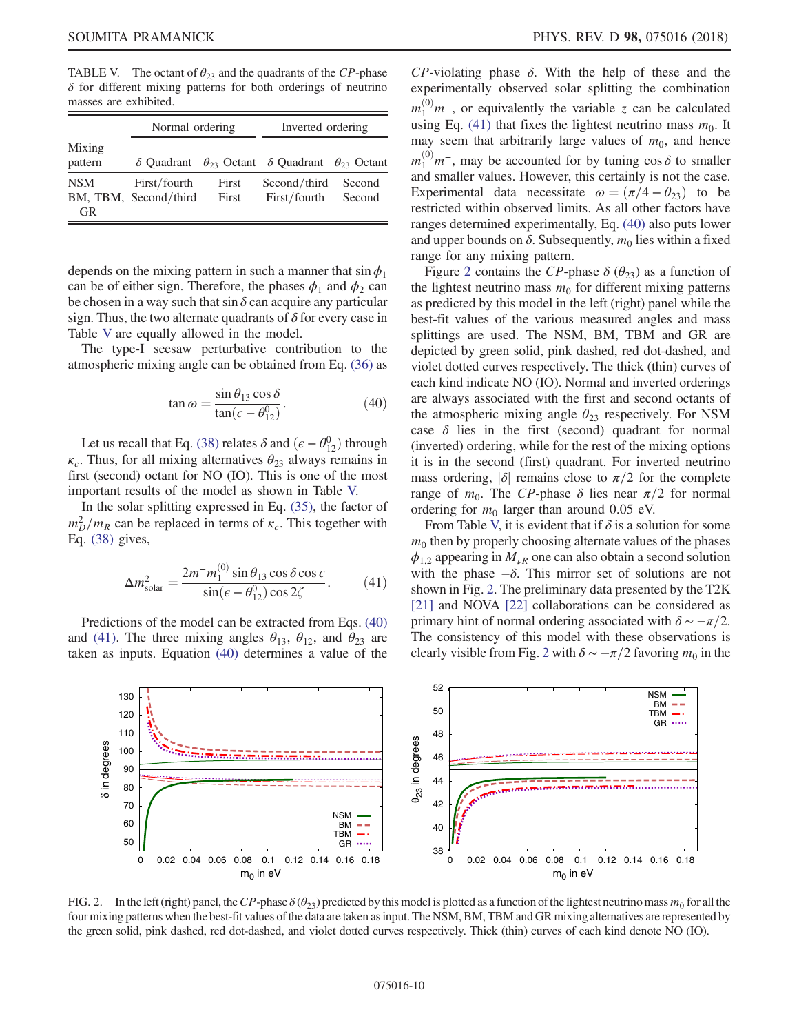<span id="page-9-0"></span>TABLE V. The octant of  $\theta_{23}$  and the quadrants of the CP-phase  $\delta$  for different mixing patterns for both orderings of neutrino masses are exhibited.

|                         | Normal ordering                       |                | Inverted ordering                                           |                  |  |
|-------------------------|---------------------------------------|----------------|-------------------------------------------------------------|------------------|--|
| Mixing<br>pattern       | $\delta$ Ouadrant                     |                | $\theta_{23}$ Octant $\delta$ Quadrant $\theta_{23}$ Octant |                  |  |
| <b>NSM</b><br><b>GR</b> | First/fourth<br>BM, TBM, Second/third | First<br>First | Second/third<br>First/fourth                                | Second<br>Second |  |

depends on the mixing pattern in such a manner that  $\sin \phi_1$ can be of either sign. Therefore, the phases  $\phi_1$  and  $\phi_2$  can be chosen in a way such that sin  $\delta$  can acquire any particular sign. Thus, the two alternate quadrants of  $\delta$  for every case in Table [V](#page-9-0) are equally allowed in the model.

<span id="page-9-1"></span>The type-I seesaw perturbative contribution to the atmospheric mixing angle can be obtained from Eq. [\(36\)](#page-8-2) as

$$
\tan \omega = \frac{\sin \theta_{13} \cos \delta}{\tan (\epsilon - \theta_{12}^0)}.
$$
\n(40)

Let us recall that Eq. [\(38\)](#page-8-3) relates  $\delta$  and  $(\epsilon - \theta_{12}^0)$  through<br>Thus for all mixing alternatives  $\theta_{02}$  always remains in  $\kappa_c$ . Thus, for all mixing alternatives  $\theta_{23}$  always remains in first (second) octant for NO (IO). This is one of the most important results of the model as shown in Table [V.](#page-9-0)

<span id="page-9-2"></span>In the solar splitting expressed in Eq. [\(35\),](#page-8-5) the factor of  $m_D^2/m_R$  can be replaced in terms of  $\kappa_c$ . This together with Eq. [\(38\)](#page-8-3) gives,

$$
\Delta m_{\text{solar}}^2 = \frac{2m^- m_1^{(0)} \sin \theta_{13} \cos \delta \cos \epsilon}{\sin(\epsilon - \theta_{12}^0) \cos 2\zeta}.
$$
 (41)

Predictions of the model can be extracted from Eqs. [\(40\)](#page-9-1) and [\(41\).](#page-9-2) The three mixing angles  $\theta_{13}$ ,  $\theta_{12}$ , and  $\theta_{23}$  are taken as inputs. Equation [\(40\)](#page-9-1) determines a value of the

 $CP$ -violating phase  $\delta$ . With the help of these and the experimentally observed solar splitting the combination  $m_1^{(0)}m^-,$  or equivalently the variable z can be calculated using Eq. [\(41\)](#page-9-2) that fixes the lightest neutrino mass  $m_0$ . It may seem that arbitrarily large values of  $m_0$ , and hence  $m_1^{(0)}m^-,$  may be accounted for by tuning cos  $\delta$  to smaller and smaller values. However, this certainly is not the case. Experimental data necessitate  $\omega = (\pi/4 - \theta_{23})$  to be restricted within observed limits. As all other factors have ranges determined experimentally, Eq. [\(40\)](#page-9-1) also puts lower and upper bounds on  $\delta$ . Subsequently,  $m_0$  lies within a fixed range for any mixing pattern.

Figure [2](#page-9-3) contains the CP-phase  $\delta$  ( $\theta_{23}$ ) as a function of the lightest neutrino mass  $m_0$  for different mixing patterns as predicted by this model in the left (right) panel while the best-fit values of the various measured angles and mass splittings are used. The NSM, BM, TBM and GR are depicted by green solid, pink dashed, red dot-dashed, and violet dotted curves respectively. The thick (thin) curves of each kind indicate NO (IO). Normal and inverted orderings are always associated with the first and second octants of the atmospheric mixing angle  $\theta_{23}$  respectively. For NSM case  $\delta$  lies in the first (second) quadrant for normal (inverted) ordering, while for the rest of the mixing options it is in the second (first) quadrant. For inverted neutrino mass ordering,  $|\delta|$  remains close to  $\pi/2$  for the complete range of  $m_0$ . The CP-phase δ lies near  $\pi/2$  for normal ordering for  $m_0$  larger than around 0.05 eV.

From Table [V,](#page-9-0) it is evident that if  $\delta$  is a solution for some  $m<sub>0</sub>$  then by properly choosing alternate values of the phases  $\phi_{1,2}$  appearing in  $M_{\nu R}$  one can also obtain a second solution with the phase  $-\delta$ . This mirror set of solutions are not shown in Fig. [2](#page-9-3). The preliminary data presented by the T2K [\[21\]](#page-21-16) and NOVA [\[22\]](#page-21-17) collaborations can be considered as primary hint of normal ordering associated with  $\delta \sim -\pi/2$ . The consistency of this model with these observations is clearly visible from Fig. [2](#page-9-3) with  $\delta \sim -\pi/2$  favoring  $m_0$  in the

<span id="page-9-3"></span>

FIG. 2. In the left (right) panel, the CP-phase  $\delta(\theta_{23})$  predicted by this model is plotted as a function of the lightest neutrino mass  $m_0$  for all the four mixing patterns when the best-fit values of the data are taken as input. The NSM, BM, TBM and GR mixing alternatives are represented by the green solid, pink dashed, red dot-dashed, and violet dotted curves respectively. Thick (thin) curves of each kind denote NO (IO).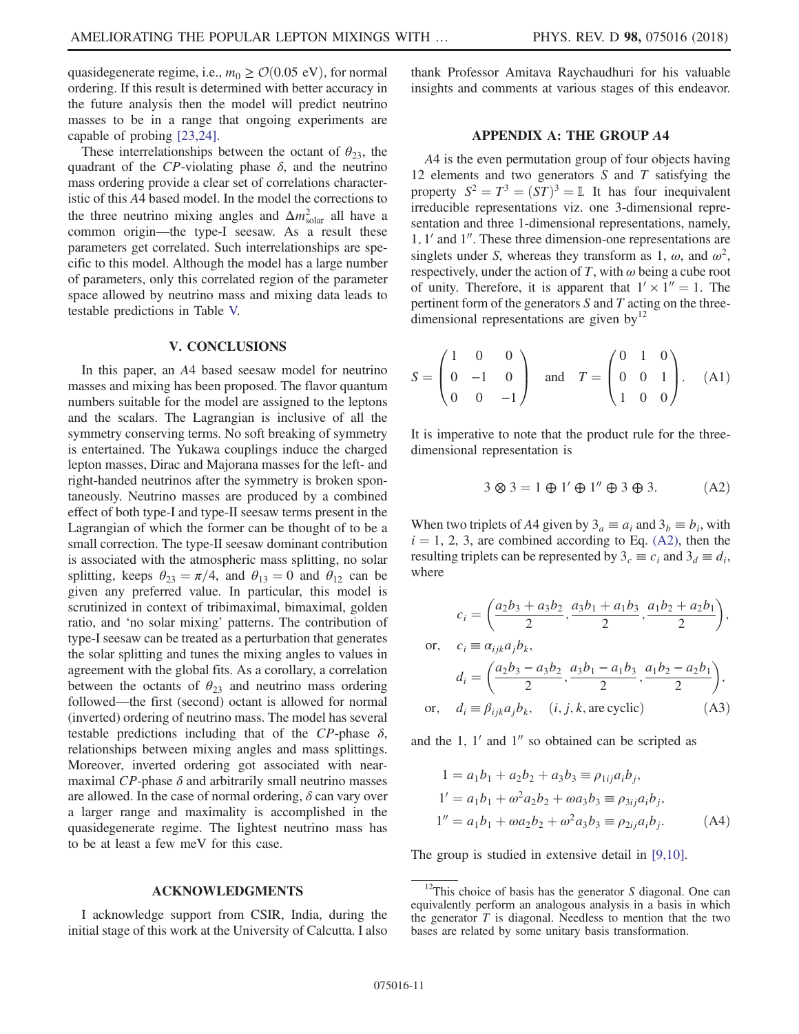quasidegenerate regime, i.e.,  $m_0 \geq \mathcal{O}(0.05 \text{ eV})$ , for normal ordering. If this result is determined with better accuracy in the future analysis then the model will predict neutrino masses to be in a range that ongoing experiments are capable of probing [\[23,24\]](#page-21-18).

These interrelationships between the octant of  $\theta_{23}$ , the quadrant of the CP-violating phase  $\delta$ , and the neutrino mass ordering provide a clear set of correlations characteristic of this A4 based model. In the model the corrections to the three neutrino mixing angles and  $\Delta m_{\text{solar}}^2$  all have a common origin—the type-I seesaw. As a result these parameters get correlated. Such interrelationships are specific to this model. Although the model has a large number of parameters, only this correlated region of the parameter space allowed by neutrino mass and mixing data leads to testable predictions in Table [V.](#page-9-0)

#### V. CONCLUSIONS

In this paper, an A4 based seesaw model for neutrino masses and mixing has been proposed. The flavor quantum numbers suitable for the model are assigned to the leptons and the scalars. The Lagrangian is inclusive of all the symmetry conserving terms. No soft breaking of symmetry is entertained. The Yukawa couplings induce the charged lepton masses, Dirac and Majorana masses for the left- and right-handed neutrinos after the symmetry is broken spontaneously. Neutrino masses are produced by a combined effect of both type-I and type-II seesaw terms present in the Lagrangian of which the former can be thought of to be a small correction. The type-II seesaw dominant contribution is associated with the atmospheric mass splitting, no solar splitting, keeps  $\theta_{23} = \pi/4$ , and  $\theta_{13} = 0$  and  $\theta_{12}$  can be given any preferred value. In particular, this model is scrutinized in context of tribimaximal, bimaximal, golden ratio, and 'no solar mixing' patterns. The contribution of type-I seesaw can be treated as a perturbation that generates the solar splitting and tunes the mixing angles to values in agreement with the global fits. As a corollary, a correlation between the octants of  $\theta_{23}$  and neutrino mass ordering followed—the first (second) octant is allowed for normal (inverted) ordering of neutrino mass. The model has several testable predictions including that of the CP-phase  $\delta$ , relationships between mixing angles and mass splittings. Moreover, inverted ordering got associated with nearmaximal  $CP$ -phase  $\delta$  and arbitrarily small neutrino masses are allowed. In the case of normal ordering,  $\delta$  can vary over a larger range and maximality is accomplished in the quasidegenerate regime. The lightest neutrino mass has to be at least a few meV for this case.

## ACKNOWLEDGMENTS

I acknowledge support from CSIR, India, during the initial stage of this work at the University of Calcutta. I also <span id="page-10-0"></span>thank Professor Amitava Raychaudhuri for his valuable insights and comments at various stages of this endeavor.

### APPENDIX A: THE GROUP A4

A4 is the even permutation group of four objects having 12 elements and two generators S and T satisfying the property  $S^2 = T^3 = (ST)^3 = \mathbb{I}$ . It has four inequivalent irreducible representations viz. one 3-dimensional representation and three 1-dimensional representations, namely,  $1, 1'$  and  $1''$ . These three dimension-one representations are singlets under S, whereas they transform as 1,  $\omega$ , and  $\omega^2$ , respectively, under the action of T, with  $\omega$  being a cube root of unity. Therefore, it is apparent that  $1' \times 1'' = 1$ . The pertinent form of the generators  $S$  and  $T$  acting on the threedimensional representations are given by $^{12}$ 

$$
S = \begin{pmatrix} 1 & 0 & 0 \\ 0 & -1 & 0 \\ 0 & 0 & -1 \end{pmatrix} \text{ and } T = \begin{pmatrix} 0 & 1 & 0 \\ 0 & 0 & 1 \\ 1 & 0 & 0 \end{pmatrix}. \quad (A1)
$$

<span id="page-10-1"></span>It is imperative to note that the product rule for the threedimensional representation is

$$
3 \otimes 3 = 1 \oplus 1' \oplus 1'' \oplus 3 \oplus 3. \tag{A2}
$$

<span id="page-10-2"></span>When two triplets of A4 given by  $3_a \equiv a_i$  and  $3_b \equiv b_i$ , with  $i = 1, 2, 3$ , are combined according to Eq. [\(A2\),](#page-10-1) then the resulting triplets can be represented by  $3_c \equiv c_i$  and  $3_d \equiv d_i$ , where

$$
c_i = \left(\frac{a_2b_3 + a_3b_2}{2}, \frac{a_3b_1 + a_1b_3}{2}, \frac{a_1b_2 + a_2b_1}{2}\right),
$$
  
or, 
$$
c_i \equiv \alpha_{ijk}a_jb_k,
$$

$$
d_i = \left(\frac{a_2b_3 - a_3b_2}{2}, \frac{a_3b_1 - a_1b_3}{2}, \frac{a_1b_2 - a_2b_1}{2}\right),
$$
  
or, 
$$
d_i \equiv \beta_{ijk}a_jb_k, \quad (i, j, k, \text{are cyclic}) \tag{A3}
$$

<span id="page-10-3"></span>and the 1,  $1'$  and  $1''$  so obtained can be scripted as

$$
1 = a_1b_1 + a_2b_2 + a_3b_3 \equiv \rho_{1ij}a_ib_j,
$$
  
\n
$$
1' = a_1b_1 + \omega^2 a_2b_2 + \omega a_3b_3 \equiv \rho_{3ij}a_ib_j,
$$
  
\n
$$
1'' = a_1b_1 + \omega a_2b_2 + \omega^2 a_3b_3 \equiv \rho_{2ij}a_ib_j.
$$
 (A4)

The group is studied in extensive detail in [\[9,10\].](#page-21-7)

 $12$ This choice of basis has the generator S diagonal. One can equivalently perform an analogous analysis in a basis in which the generator  $T$  is diagonal. Needless to mention that the two bases are related by some unitary basis transformation.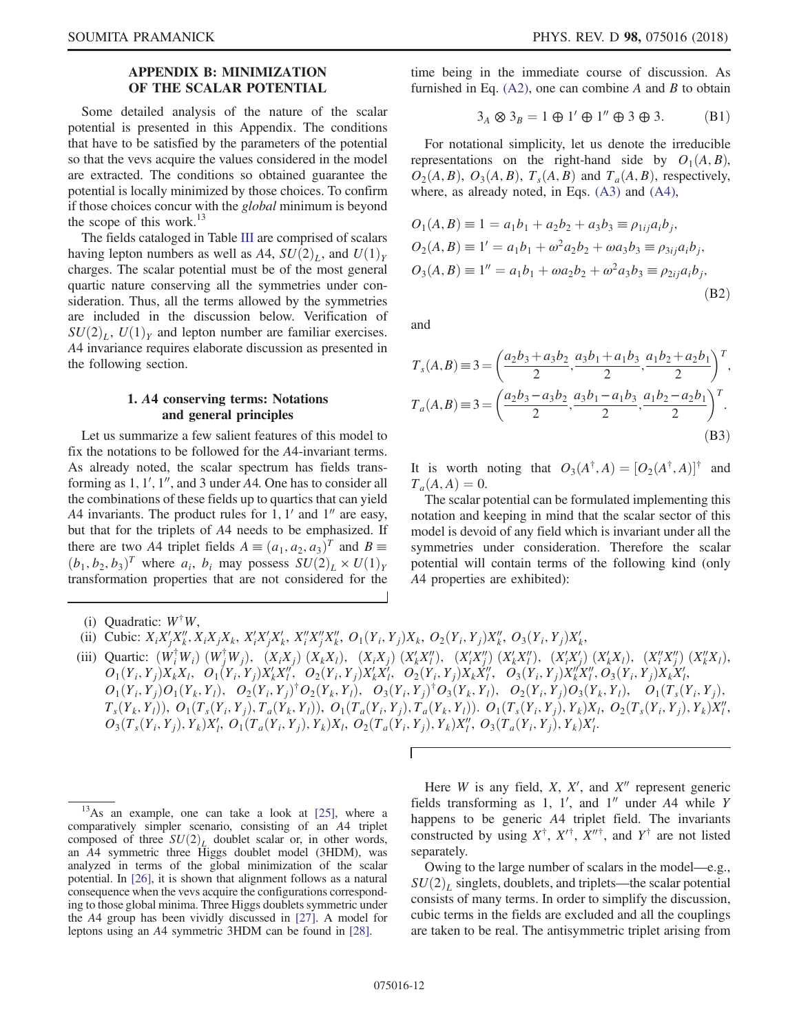## APPENDIX B: MINIMIZATION OF THE SCALAR POTENTIAL

<span id="page-11-0"></span>Some detailed analysis of the nature of the scalar potential is presented in this Appendix. The conditions that have to be satisfied by the parameters of the potential so that the vevs acquire the values considered in the model are extracted. The conditions so obtained guarantee the potential is locally minimized by those choices. To confirm if those choices concur with the *global* minimum is beyond the scope of this work.<sup>13</sup>

The fields cataloged in Table [III](#page-3-0) are comprised of scalars having lepton numbers as well as A4,  $SU(2)_L$ , and  $U(1)_Y$ charges. The scalar potential must be of the most general quartic nature conserving all the symmetries under consideration. Thus, all the terms allowed by the symmetries are included in the discussion below. Verification of  $SU(2)_I$ ,  $U(1)_Y$  and lepton number are familiar exercises. A4 invariance requires elaborate discussion as presented in the following section.

### 1. A4 conserving terms: Notations and general principles

Let us summarize a few salient features of this model to fix the notations to be followed for the A4-invariant terms. As already noted, the scalar spectrum has fields transforming as  $1, 1', 1'',$  and 3 under A4. One has to consider all the combinations of these fields up to quartics that can yield A4 invariants. The product rules for 1,  $1'$  and  $1''$  are easy, but that for the triplets of A4 needs to be emphasized. If there are two A4 triplet fields  $A = (a_1, a_2, a_3)^T$  and  $B =$  $(b_1, b_2, b_3)^T$  where  $a_i$ ,  $b_i$  may possess  $SU(2)_L \times U(1)_Y$ transformation properties that are not considered for the <span id="page-11-2"></span>time being in the immediate course of discussion. As furnished in Eq.  $(A2)$ , one can combine A and B to obtain

$$
3_A \otimes 3_B = 1 \oplus 1' \oplus 1'' \oplus 3 \oplus 3. \tag{B1}
$$

For notational simplicity, let us denote the irreducible representations on the right-hand side by  $O_1(A, B)$ ,  $O_2(A, B)$ ,  $O_3(A, B)$ ,  $T_s(A, B)$  and  $T_a(A, B)$ , respectively, where, as already noted, in Eqs. [\(A3\)](#page-10-2) and [\(A4\),](#page-10-3)

$$
O_1(A, B) \equiv 1 = a_1b_1 + a_2b_2 + a_3b_3 \equiv \rho_{1ij}a_ib_j,
$$
  
\n
$$
O_2(A, B) \equiv 1' = a_1b_1 + \omega^2 a_2b_2 + \omega a_3b_3 \equiv \rho_{3ij}a_ib_j,
$$
  
\n
$$
O_3(A, B) \equiv 1'' = a_1b_1 + \omega a_2b_2 + \omega^2 a_3b_3 \equiv \rho_{2ij}a_ib_j,
$$
  
\n(B2)

<span id="page-11-1"></span>and

$$
T_s(A, B) \equiv 3 = \left(\frac{a_2b_3 + a_3b_2}{2}, \frac{a_3b_1 + a_1b_3}{2}, \frac{a_1b_2 + a_2b_1}{2}\right)^T,
$$
  

$$
T_a(A, B) \equiv 3 = \left(\frac{a_2b_3 - a_3b_2}{2}, \frac{a_3b_1 - a_1b_3}{2}, \frac{a_1b_2 - a_2b_1}{2}\right)^T.
$$
  
(B3)

It is worth noting that  $O_3(A^{\dagger}, A) = [O_2(A^{\dagger}, A)]^{\dagger}$  and  $T_a(A, A) = 0.$ 

The scalar potential can be formulated implementing this notation and keeping in mind that the scalar sector of this model is devoid of any field which is invariant under all the symmetries under consideration. Therefore the scalar potential will contain terms of the following kind (only A4 properties are exhibited):

- (ii) Cubic:  $X_i X_j' X_k''$ ,  $X_i X_j X_k$ ,  $X_i' X_j' X_k'$ ,  $X_i'' X_j'' X_k''$ ,  $O_1(Y_i, Y_j) X_k$ ,  $O_2(Y_i, Y_j) X_k''$ ,  $O_3(Y_i, Y_j) X_k'$
- (iii) Quartic: ðW† <sup>i</sup> WiÞ ðW† <sup>j</sup>WjÞ; ðXiXjÞ ðXkXlÞ; ðXiXjÞ ðX<sup>0</sup> <sup>k</sup>X00 <sup>l</sup> <sup>Þ</sup>; <sup>ð</sup>X<sup>0</sup> iX00 <sup>j</sup> Þ ðX<sup>0</sup> <sup>k</sup>X00 <sup>l</sup> <sup>Þ</sup>; <sup>ð</sup>X<sup>0</sup> iX0 <sup>j</sup>Þ ðX<sup>0</sup> <sup>k</sup>XlÞ; ðX<sup>00</sup> <sup>i</sup> X<sup>00</sup> <sup>j</sup> Þ ðX<sup>00</sup> <sup>k</sup>XlÞ,  $\overline{O}_1(Y_i, Y_j) X_k X_l, \quad \overline{O}_1(Y_i, Y_j) X_k X_l'', \quad \overline{O}_2(Y_i, Y_j) X_k X_l', \quad \overline{O}_2(Y_i, Y_j) X_k X_l'', \quad \overline{O}_3(Y_i, Y_j) X_k X_l'', \quad \overline{O}_3(Y_i, Y_j) X_k X_l'', \quad \overline{O}_3(Y_i, Y_j) X_k X_l'', \quad \overline{O}_3(Y_i, Y_j) X_k X_l'', \quad \overline{O}_3(Y_i, Y_j) X_k X_l'', \quad \overline{O}_3(Y_i, Y_j) X_k X_l'', \quad \overline{O}_3(Y_i, Y_j) X_k X_l'', \quad$  $O_1(Y_i, Y_j)O_1(Y_k, Y_l)$ ,  $O_2(Y_i, Y_j)^\dagger O_2(Y_k, Y_l)$ ,  $O_3(Y_i, Y_j)^\dagger O_3(Y_k, Y_l)$ ,  $O_2(Y_i, Y_j)O_3(Y_k, Y_l)$ ,  $O_1(T_s(Y_i, Y_j)$ ,  $T_s(Y_k, Y_l)$ ),  $O_1(T_s(Y_i, Y_j), T_a(Y_k, Y_l))$ ,  $O_1(T_a(Y_i, Y_j), T_a(Y_k, Y_l))$ ,  $O_1(T_s(Y_i, Y_j), Y_k)X_l$ ,  $O_2(T_s(Y_i, Y_j), Y_k)X_l'$ ;<br> $O_s(T_s(Y_k, Y_k)$ ,  $V_s$ ,  $V_s$ ,  $V_s$ ,  $V_s$ ,  $V_s$ ,  $V_s$ ,  $V_s$ ,  $V_s$ ,  $V_s$ ,  $V_s$ ,  $V_s$ ,  $V_s$ ,  $V_s$ ,  $V_s$ ,  $V_s$ ,  $V_s$ ,  $V_s$ ,  $V_s$ ,  $O_3(T_s(Y_i, Y_j), Y_k)X'_i, O_1(T_a(Y_i, Y_j), Y_k)X_i, O_2(T_a(Y_i, Y_j), Y_k)X''_i, O_3(T_a(Y_i, Y_j), Y_k)X'_i.$

Here  $W$  is any field,  $X$ ,  $X'$ , and  $X''$  represent generic fields transforming as 1,  $1'$ , and  $1''$  under  $A4$  while Y happens to be generic A4 triplet field. The invariants constructed by using  $X^{\dagger}$ ,  $X^{\prime\dagger}$ ,  $X^{\prime\prime\dagger}$ , and  $Y^{\dagger}$  are not listed separately.

Owing to the large number of scalars in the model—e.g.,  $SU(2)_L$  singlets, doublets, and triplets—the scalar potential consists of many terms. In order to simplify the discussion, cubic terms in the fields are excluded and all the couplings are taken to be real. The antisymmetric triplet arising from

<sup>(</sup>i) Quadratic:  $W^{\dagger}W$ .

 $13$ As an example, one can take a look at  $[25]$ , where a comparatively simpler scenario, consisting of an A4 triplet composed of three  $SU(2)_L$  doublet scalar or, in other words, an A4 symmetric three Higgs doublet model (3HDM), was analyzed in terms of the global minimization of the scalar potential. In [\[26\],](#page-21-20) it is shown that alignment follows as a natural consequence when the vevs acquire the configurations corresponding to those global minima. Three Higgs doublets symmetric under the A4 group has been vividly discussed in [\[27\].](#page-21-21) A model for leptons using an A4 symmetric 3HDM can be found in [\[28\]](#page-21-22).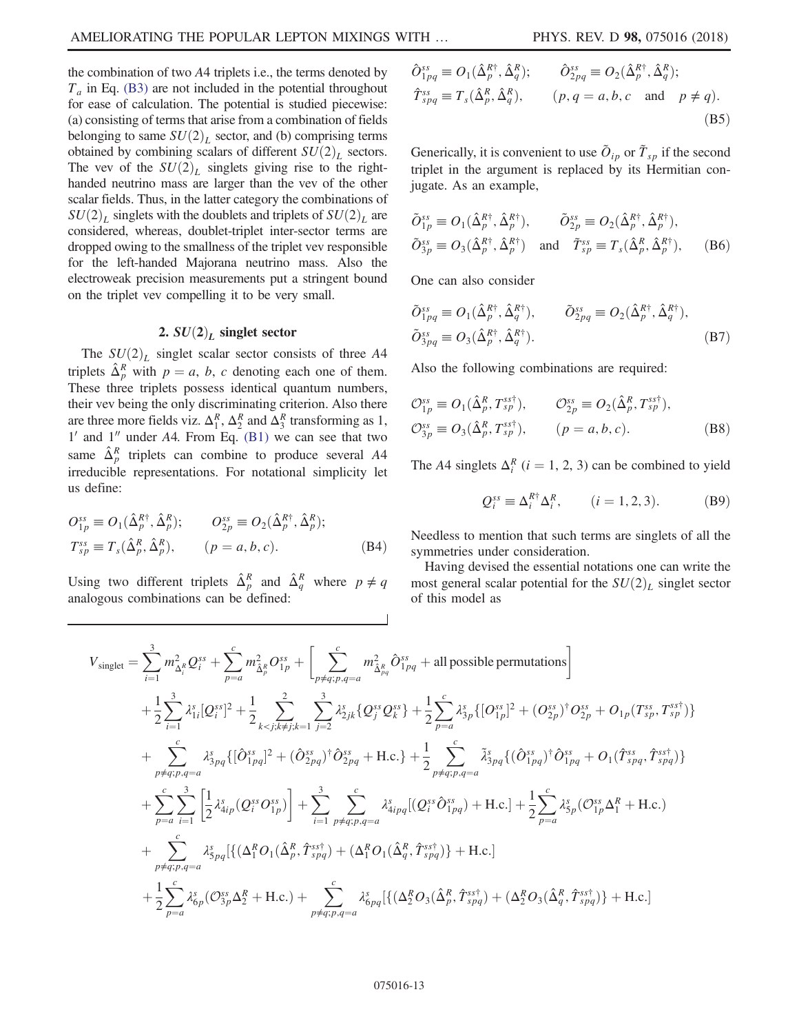the combination of two A4 triplets i.e., the terms denoted by  $T_a$  in Eq. [\(B3\)](#page-11-1) are not included in the potential throughout for ease of calculation. The potential is studied piecewise: (a) consisting of terms that arise from a combination of fields belonging to same  $SU(2)_L$  sector, and (b) comprising terms obtained by combining scalars of different  $SU(2)_L$  sectors. The vev of the  $SU(2)_L$  singlets giving rise to the righthanded neutrino mass are larger than the vev of the other scalar fields. Thus, in the latter category the combinations of  $SU(2)_L$  singlets with the doublets and triplets of  $SU(2)_L$  are considered, whereas, doublet-triplet inter-sector terms are dropped owing to the smallness of the triplet vev responsible for the left-handed Majorana neutrino mass. Also the electroweak precision measurements put a stringent bound on the triplet vev compelling it to be very small.

#### 2.  $SU(2)<sub>L</sub>$  singlet sector

The  $SU(2)_L$  singlet scalar sector consists of three A4 triplets  $\hat{\Delta}_p^R$  with  $p = a, b, c$  denoting each one of them.<br>These three triplets possess identical quantum numbers These three triplets possess identical quantum numbers, their vev being the only discriminating criterion. Also there are three more fields viz.  $\Delta_1^R$ ,  $\Delta_2^R$  and  $\Delta_3^R$  transforming as 1,  $1'$  and  $1''$  under A4. From Eq. [\(B1\)](#page-11-2) we can see that two same  $\hat{\Delta}_p^R$  triplets can combine to produce several A4 irreducible representations. For notational simplicity let us define:

$$
O_{1p}^{ss} \equiv O_1(\hat{\Delta}_p^{R\dagger}, \hat{\Delta}_p^{R}); \qquad O_{2p}^{ss} \equiv O_2(\hat{\Delta}_p^{R\dagger}, \hat{\Delta}_p^{R});
$$
  
\n
$$
T_{sp}^{ss} \equiv T_s(\hat{\Delta}_p^{R}, \hat{\Delta}_p^{R}), \qquad (p = a, b, c).
$$
 (B4)

Using two different triplets  $\hat{\Delta}_p^R$  and  $\hat{\Delta}_q^R$  where  $p \neq q$ analogous combinations can be defined:

$$
\hat{O}_{1pq}^{ss} \equiv O_1(\hat{\Delta}_p^{R\dagger}, \hat{\Delta}_q^R); \qquad \hat{O}_{2pq}^{ss} \equiv O_2(\hat{\Delta}_p^{R\dagger}, \hat{\Delta}_q^R);
$$
  

$$
\hat{T}_{spq}^{ss} \equiv T_s(\hat{\Delta}_p^R, \hat{\Delta}_q^R), \qquad (p, q = a, b, c \text{ and } p \neq q).
$$
  
(B5)

Generically, it is convenient to use  $\tilde{O}_{ip}$  or  $\tilde{T}_{sp}$  if the second triplet in the argument is replaced by its Hermitian conjugate. As an example,

$$
\tilde{O}_{1p}^{ss} \equiv O_1(\hat{\Delta}_p^{R\dagger}, \hat{\Delta}_p^{R\dagger}), \qquad \tilde{O}_{2p}^{ss} \equiv O_2(\hat{\Delta}_p^{R\dagger}, \hat{\Delta}_p^{R\dagger}), \n\tilde{O}_{3p}^{ss} \equiv O_3(\hat{\Delta}_p^{R\dagger}, \hat{\Delta}_p^{R\dagger}) \quad \text{and} \quad \tilde{T}_{sp}^{ss} \equiv T_s(\hat{\Delta}_p^R, \hat{\Delta}_p^{R\dagger}), \qquad (B6)
$$

One can also consider

$$
\tilde{O}_{1pq}^{ss} \equiv O_1(\hat{\Delta}_p^{R\dagger}, \hat{\Delta}_q^{R\dagger}), \qquad \tilde{O}_{2pq}^{ss} \equiv O_2(\hat{\Delta}_p^{R\dagger}, \hat{\Delta}_q^{R\dagger}), \n\tilde{O}_{3pq}^{ss} \equiv O_3(\hat{\Delta}_p^{R\dagger}, \hat{\Delta}_q^{R\dagger}).
$$
\n(B7)

Also the following combinations are required:

$$
\mathcal{O}_{1p}^{ss} \equiv O_1(\hat{\Delta}_p^R, T_{sp}^{sst}), \qquad \mathcal{O}_{2p}^{ss} \equiv O_2(\hat{\Delta}_p^R, T_{sp}^{sst}),
$$
  

$$
\mathcal{O}_{3p}^{ss} \equiv O_3(\hat{\Delta}_p^R, T_{sp}^{sst}), \qquad (p = a, b, c).
$$
 (B8)

The A4 singlets  $\Delta_i^R$  (*i* = 1, 2, 3) can be combined to yield

$$
Q_i^{ss} \equiv \Delta_i^{R\dagger} \Delta_i^R, \qquad (i = 1, 2, 3). \tag{B9}
$$

Needless to mention that such terms are singlets of all the symmetries under consideration.

Having devised the essential notations one can write the most general scalar potential for the  $SU(2)_L$  singlet sector of this model as

$$
V_{singlet} = \sum_{i=1}^{3} m_{\Delta_{i}^{R}}^{2} Q_{i}^{s s} + \sum_{p=a}^{c} m_{\Delta_{p}^{R}}^{2} O_{1p}^{s s} + \left[ \sum_{p \neq q,p,q=a}^{c} m_{\Delta_{p}^{R}}^{2} O_{1pq}^{s s} + \text{all possible permutations} \right]
$$
  
+  $\frac{1}{2} \sum_{i=1}^{3} \lambda_{1i}^{s} [Q_{i}^{s s}]^{2} + \frac{1}{2} \sum_{k < j; k \neq j; k=1}^{2} \sum_{j=2}^{3} \lambda_{2jk}^{s} \{Q_{j}^{s s} Q_{k}^{s s}\} + \frac{1}{2} \sum_{p=a}^{c} \lambda_{3p}^{s} \{[O_{1p}^{s s}]^{2} + (O_{2p}^{s s})^{\dagger} O_{2p}^{s s} + O_{1p}(T_{sp}^{s s}, T_{sp}^{s s \dagger}) \}$   
+  $\sum_{p \neq q; p,q=a}^{c} \lambda_{3pq}^{s} \{[\hat{O}_{1pq}^{s s}]^{2} + (\hat{O}_{2pq}^{s s})^{\dagger} \hat{O}_{2pq}^{s s} + \text{H.c.}\} + \frac{1}{2} \sum_{p \neq q; p,q=a}^{c} \tilde{\lambda}_{3pq}^{s} \{(\hat{O}_{1pq}^{s s})^{\dagger} \hat{O}_{1pq}^{s s} + O_{1}(\hat{T}_{spq}^{s s} , \hat{T}_{spq}^{s s \dagger}) \}$   
+  $\sum_{p=a}^{c} \sum_{i=1}^{3} \left[ \frac{1}{2} \lambda_{4ip}^{s} (Q_{i}^{s s} O_{1p}^{s s}) \right] + \sum_{i=1}^{3} \sum_{p \neq q; p,q=a}^{c} \lambda_{4ipq}^{s} [(Q_{i}^{s s} \hat{O}_{1pq}^{s s}) + \text{H.c.}] + \frac{1}{2} \sum_{p=a}^{c} \lambda_{5p}^{s} (O_{1p}^{s s} \Delta_{1}^{R} + \text{H.c.})$   
+  $\sum_{p \neq q; p,q=a}^{c} \lambda_{5pq}^{s} [\{(\Delta_{1}^{R} O_{1}(\hat{\Delta}_{p}^{R}, \hat{T}_{spq}^{s$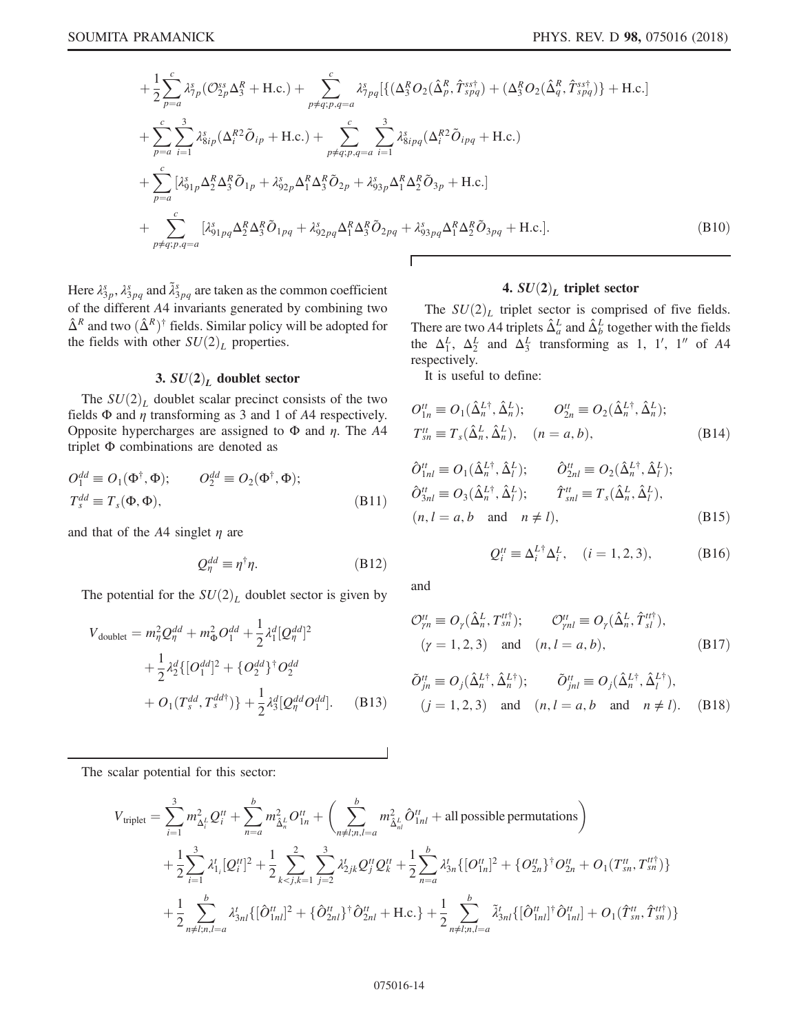<span id="page-13-0"></span>
$$
+\frac{1}{2}\sum_{p=a}^{c}\lambda_{7p}^{s}(\mathcal{O}_{2p}^{ss}\Delta_{3}^{R}+\text{H.c.})+\sum_{p\neq q;p,q=a}^{c}\lambda_{7pq}^{s}[\{(\Delta_{3}^{R}\mathcal{O}_{2}(\hat{\Delta}_{p}^{R},\hat{T}_{spq}^{ss\dagger})+(\Delta_{3}^{R}\mathcal{O}_{2}(\hat{\Delta}_{q}^{R},\hat{T}_{spq}^{ss\dagger})\}+\text{H.c.}]
$$
  
+
$$
\sum_{p=a}^{c}\sum_{i=1}^{3}\lambda_{8ip}^{s}(\Delta_{i}^{R2}\tilde{\mathcal{O}}_{ip}+\text{H.c.})+\sum_{p\neq q;p,q=a}^{c}\sum_{i=1}^{3}\lambda_{8ipq}^{s}(\Delta_{i}^{R2}\tilde{\mathcal{O}}_{ipq}+\text{H.c.})
$$
  
+
$$
\sum_{p=a}^{c}[\lambda_{91p}^{s}\Delta_{2}^{R}\Delta_{3}^{R}\tilde{\mathcal{O}}_{1p}+\lambda_{92p}^{s}\Delta_{1}^{R}\Delta_{3}^{R}\tilde{\mathcal{O}}_{2p}+\lambda_{93p}^{s}\Delta_{1}^{R}\Delta_{2}^{R}\tilde{\mathcal{O}}_{3p}+\text{H.c.}]
$$
  
+
$$
\sum_{p\neq q;p,q=a}^{c}[\lambda_{91p}^{s}\Delta_{2}^{R}\Delta_{3}^{R}\tilde{\mathcal{O}}_{1pq}+\lambda_{92pq}^{s}\Delta_{1}^{R}\Delta_{3}^{R}\tilde{\mathcal{O}}_{2pq}+\lambda_{93pq}^{s}\Delta_{1}^{R}\Delta_{2}^{R}\tilde{\mathcal{O}}_{3pq}+\text{H.c.}].
$$
  
(B10)

Г

Here  $\lambda_{3p}^s$ ,  $\lambda_{3pq}^s$  and  $\tilde{\lambda}_{3pq}^s$  are taken as the common coefficient of the different A4 invariants generated by combining two  $\hat{\Delta}^R$  and two  $(\hat{\Delta}^R)^{\dagger}$  fields. Similar policy will be adopted for the fields with other  $SU(2)_L$  properties.

# 3.  $SU(2)_L$  doublet sector

The  $SU(2)_L$  doublet scalar precinct consists of the two fields  $\Phi$  and  $\eta$  transforming as 3 and 1 of A4 respectively. Opposite hypercharges are assigned to  $\Phi$  and  $\eta$ . The A4 triplet Φ combinations are denoted as

$$
O_1^{dd} \equiv O_1(\Phi^{\dagger}, \Phi); \qquad O_2^{dd} \equiv O_2(\Phi^{\dagger}, \Phi);
$$
  
\n
$$
T_s^{dd} \equiv T_s(\Phi, \Phi), \qquad (B11)
$$

and that of the  $A4$  singlet  $\eta$  are

$$
Q_{\eta}^{dd} \equiv \eta^{\dagger} \eta. \tag{B12}
$$

<span id="page-13-1"></span>The potential for the  $SU(2)_L$  doublet sector is given by

$$
V_{\text{doublet}} = m_{\eta}^2 Q_{\eta}^{dd} + m_{\Phi}^2 O_1^{dd} + \frac{1}{2} \lambda_1^d [Q_{\eta}^{dd}]^2
$$
  
+ 
$$
\frac{1}{2} \lambda_2^d \{ [O_1^{dd}]^2 + \{ O_2^{dd} \}^\dagger O_2^{dd}
$$
  
+ 
$$
O_1(T_s^{dd}, T_s^{dd\dagger}) \} + \frac{1}{2} \lambda_3^d [Q_{\eta}^{dd} O_1^{dd}].
$$
 (B13)

# 4.  $SU(2)_L$  triplet sector

The  $SU(2)_L$  triplet sector is comprised of five fields. There are two A4 triplets  $\hat{\Delta}^L_a$  and  $\hat{\Delta}^L_b$  together with the fields the  $\Delta_1^L$ ,  $\Delta_2^L$  and  $\Delta_3^L$  transforming as 1, 1', 1'' of A4 respectively.

It is useful to define:

$$
O_{1n}^{tt} \equiv O_1(\hat{\Delta}_n^{L\dagger}, \hat{\Delta}_n^{L}); \qquad O_{2n}^{tt} \equiv O_2(\hat{\Delta}_n^{L\dagger}, \hat{\Delta}_n^{L});
$$
  
\n
$$
T_{sn}^{tt} \equiv T_s(\hat{\Delta}_n^{L}, \hat{\Delta}_n^{L}), \qquad (n = a, b), \qquad (B14)
$$

$$
\hat{O}_{1nl}^{tt} \equiv O_1(\hat{\Delta}_n^{L\dagger}, \hat{\Delta}_l^L); \qquad \hat{O}_{2nl}^{tt} \equiv O_2(\hat{\Delta}_n^{L\dagger}, \hat{\Delta}_l^L);
$$
  
\n
$$
\hat{O}_{3nl}^{tt} \equiv O_3(\hat{\Delta}_n^{L\dagger}, \hat{\Delta}_l^L); \qquad \hat{T}_{snl}^{tt} \equiv T_s(\hat{\Delta}_n^L, \hat{\Delta}_l^L),
$$
  
\n
$$
(n, l = a, b \text{ and } n \neq l), \qquad (B15)
$$

$$
Q_i^{tt} \equiv \Delta_i^{L\dagger} \Delta_i^L, \quad (i = 1, 2, 3), \tag{B16}
$$

and

$$
\mathcal{O}_{\gamma n}^{tt} \equiv O_{\gamma}(\hat{\Delta}_n^L, T_{sn}^{tt\dagger}); \qquad \mathcal{O}_{\gamma n l}^{tt} \equiv O_{\gamma}(\hat{\Delta}_n^L, \hat{T}_{sl}^{tt\dagger}), (\gamma = 1, 2, 3) \quad \text{and} \quad (n, l = a, b), \tag{B17}
$$

$$
\begin{aligned}\n\tilde{O}_{jn}^{tt} &= O_j(\hat{\Delta}_n^{L\dagger}, \hat{\Delta}_n^{L\dagger}); & \tilde{O}_{jnl}^{tt} &= O_j(\hat{\Delta}_n^{L\dagger}, \hat{\Delta}_l^{L\dagger}), \\
(j = 1, 2, 3) & \text{and} & (n, l = a, b \quad \text{and} \quad n \neq l).\n\end{aligned} \tag{B18}
$$

The scalar potential for this sector:

$$
V_{\text{triplet}} = \sum_{i=1}^{3} m_{\Delta_i^L}^2 Q_i^{\prime t} + \sum_{n=a}^{b} m_{\tilde{\Delta}_n^L}^2 O_{1n}^{\prime t} + \left( \sum_{n \neq l; n, l=a}^{b} m_{\tilde{\Delta}_n^L}^2 \hat{O}_{1nl}^{\prime t} + \text{all possible permutations} \right) + \frac{1}{2} \sum_{i=1}^{3} \lambda_{1_i}^t [Q_i^{\prime t}]^2 + \frac{1}{2} \sum_{k < j, k=1}^{2} \sum_{j=2}^{3} \lambda_{2jk}^t Q_j^{\prime t} Q_k^{\prime t} + \frac{1}{2} \sum_{n=a}^{b} \lambda_{3n}^t \{ [O_{1n}^{\prime t}]^2 + \{ O_{2n}^{\prime t} \}^{\dagger} O_{2n}^{\prime t} + O_1(T_{sn}^{\prime t}, T_{sn}^{\prime t}) \} + \frac{1}{2} \sum_{n \neq l; n, l=a}^{b} \lambda_{3nl}^t \{ [\hat{O}_{1nl}^{\prime t}]^2 + \{\hat{O}_{2nl}^{\prime t}\}^{\dagger} \hat{O}_{2nl}^{\prime t} + \text{H.c.}\} + \frac{1}{2} \sum_{n \neq l; n, l=a}^{b} \tilde{\lambda}_{3nl}^t \{ [\hat{O}_{1nl}^{\prime t}]^{\dagger} \hat{O}_{1nl}^{\prime t} + O_1(\hat{T}_{sn}^{\prime t}, \hat{T}_{sn}^{\prime t}) \}
$$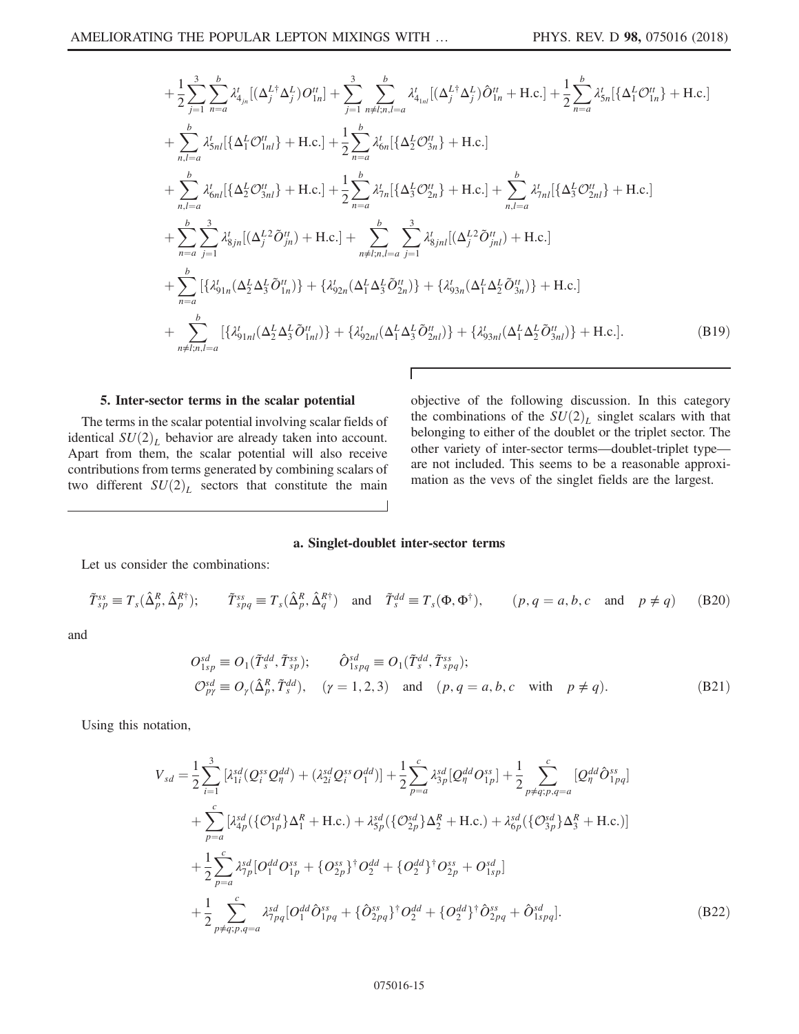<span id="page-14-0"></span>
$$
+\frac{1}{2}\sum_{j=1}^{3}\sum_{n=a}^{b} \lambda_{4_{jn}}^{t}[(\Delta_{j}^{L\dagger}\Delta_{j}^{L})O_{1n}^{tt}] + \sum_{j=1}^{3}\sum_{n\neq i,n,l=a}^{b} \lambda_{4_{1nl}}^{t}[(\Delta_{j}^{L\dagger}\Delta_{j}^{L})\hat{O}_{1n}^{tt} + \text{H.c.}] + \sum_{n,l=a}^{b} \lambda_{5n}^{t}[\{\Delta_{1}^{L}O_{1n}^{tt}\} + \text{H.c.}]
$$
  
+ 
$$
\sum_{n,l=a}^{b} \lambda_{5n}^{l}[\{\Delta_{1}^{L}O_{1nl}^{tt}\} + \text{H.c.}] + \frac{1}{2}\sum_{n=a}^{b} \lambda_{6n}^{t}[\{\Delta_{2}^{L}O_{3n}^{tt}\} + \text{H.c.}]
$$
  
+ 
$$
\sum_{n,l=a}^{b} \lambda_{6nl}^{l}[\{\Delta_{2}^{L}O_{3nl}^{tt}\} + \text{H.c.}] + \frac{1}{2}\sum_{n=a}^{b} \lambda_{7n}^{t}[\{\Delta_{3}^{L}O_{2n}^{tt}\} + \text{H.c.}] + \sum_{n,l=a}^{b} \lambda_{7nl}^{t}[\{\Delta_{3}^{L}O_{2nl}^{tt}\} + \text{H.c.}]
$$
  
+ 
$$
\sum_{n=a}^{b} \sum_{j=1}^{3} \lambda_{8jn}^{t}[(\Delta_{j}^{L2}\tilde{O}_{jn}^{tt}) + \text{H.c.}] + \sum_{n\neq l;n,l=a}^{b} \sum_{j=1}^{3} \lambda_{8jnl}^{t}[(\Delta_{j}^{L2}\tilde{O}_{jnl}^{tt}) + \text{H.c.}]
$$
  
+ 
$$
\sum_{n=a}^{b} [\{\lambda_{91n}^{t}(\Delta_{2}^{L}\Delta_{3}^{L}\tilde{O}_{1n}^{tt})\} + \{\lambda_{92n}^{t}(\Delta_{1}^{L}\Delta_{3}^{L}\tilde{O}_{2n}^{tt})\} + \{\lambda_{93n}^{t}(\Delta_{1}^{L}\Delta_{2}^{L}\tilde{O}_{3n}^{tt})\} + \text{H.c.}]
$$
  
+ 
$$
\sum_{n\neq l;n,l=a}^{b} [\{\lambda_{91n}^{t}(\Delta_{2}^{L
$$

## 5. Inter-sector terms in the scalar potential

The terms in the scalar potential involving scalar fields of identical  $SU(2)_L$  behavior are already taken into account. Apart from them, the scalar potential will also receive contributions from terms generated by combining scalars of two different  $SU(2)_L$  sectors that constitute the main objective of the following discussion. In this category the combinations of the  $SU(2)_L$  singlet scalars with that belonging to either of the doublet or the triplet sector. The other variety of inter-sector terms—doublet-triplet type are not included. This seems to be a reasonable approximation as the vevs of the singlet fields are the largest.

#### a. Singlet-doublet inter-sector terms

Γ

Let us consider the combinations:

$$
\tilde{T}_{sp}^{ss} \equiv T_s(\hat{\Delta}_p^R, \hat{\Delta}_p^{R\dagger}); \qquad \tilde{T}_{spq}^{ss} \equiv T_s(\hat{\Delta}_p^R, \hat{\Delta}_q^{R\dagger}) \quad \text{and} \quad \tilde{T}_s^{dd} \equiv T_s(\Phi, \Phi^{\dagger}), \qquad (p, q = a, b, c \quad \text{and} \quad p \neq q)
$$
 (B20)

and

$$
O_{1sp}^{sd} \equiv O_1(\tilde{T}_s^{dd}, \tilde{T}_{sp}^{ss}); \qquad \hat{O}_{1spq}^{sd} \equiv O_1(\tilde{T}_s^{dd}, \tilde{T}_{spq}^{ss});
$$
  
\n
$$
O_{p\gamma}^{sd} \equiv O_\gamma(\hat{\Delta}_p^R, \tilde{T}_s^{dd}), \qquad (\gamma = 1, 2, 3) \quad \text{and} \quad (p, q = a, b, c \quad \text{with} \quad p \neq q).
$$
\n(B21)

Using this notation,

$$
V_{sd} = \frac{1}{2} \sum_{i=1}^{3} \left[ \lambda_{1i}^{sd} (Q_i^{ss} Q_\eta^{dd}) + (\lambda_{2i}^{sd} Q_i^{ss} O_1^{dd}) \right] + \frac{1}{2} \sum_{p=a}^{c} \lambda_{3p}^{sd} [Q_\eta^{dd} O_{1p}^{ss}] + \frac{1}{2} \sum_{p \neq q; p, q=a}^{c} [Q_\eta^{dd} \hat{O}_{1pq}^{ss}]
$$
  
+ 
$$
\sum_{p=a}^{c} \left[ \lambda_{4p}^{sd} (\{O_{1p}^{sd}\} \Delta_1^R + \text{H.c.}) + \lambda_{5p}^{sd} (\{O_{2p}^{sd}\} \Delta_2^R + \text{H.c.}) + \lambda_{6p}^{sd} (\{O_{3p}^{sd}\} \Delta_3^R + \text{H.c.}) \right]
$$
  
+ 
$$
\frac{1}{2} \sum_{p=a}^{c} \lambda_{7p}^{sd} [O_1^{dd} O_{1p}^{ss} + \{O_{2p}^{ss}\}^{\dagger} O_2^{dd} + \{O_2^{dd}\}^{\dagger} O_{2p}^{ss} + O_{1sp}^{sd}]
$$
  
+ 
$$
\frac{1}{2} \sum_{p \neq q; p, q=a}^{c} \lambda_{7pq}^{sd} [O_1^{dd} \hat{O}_{1pq}^{ss} + \{\hat{O}_{2pq}^{ss}\}^{\dagger} O_2^{dd} + \{O_2^{dd}\}^{\dagger} \hat{O}_{2pq}^{ss} + \hat{O}_{1spq}^{sd}].
$$
(B22)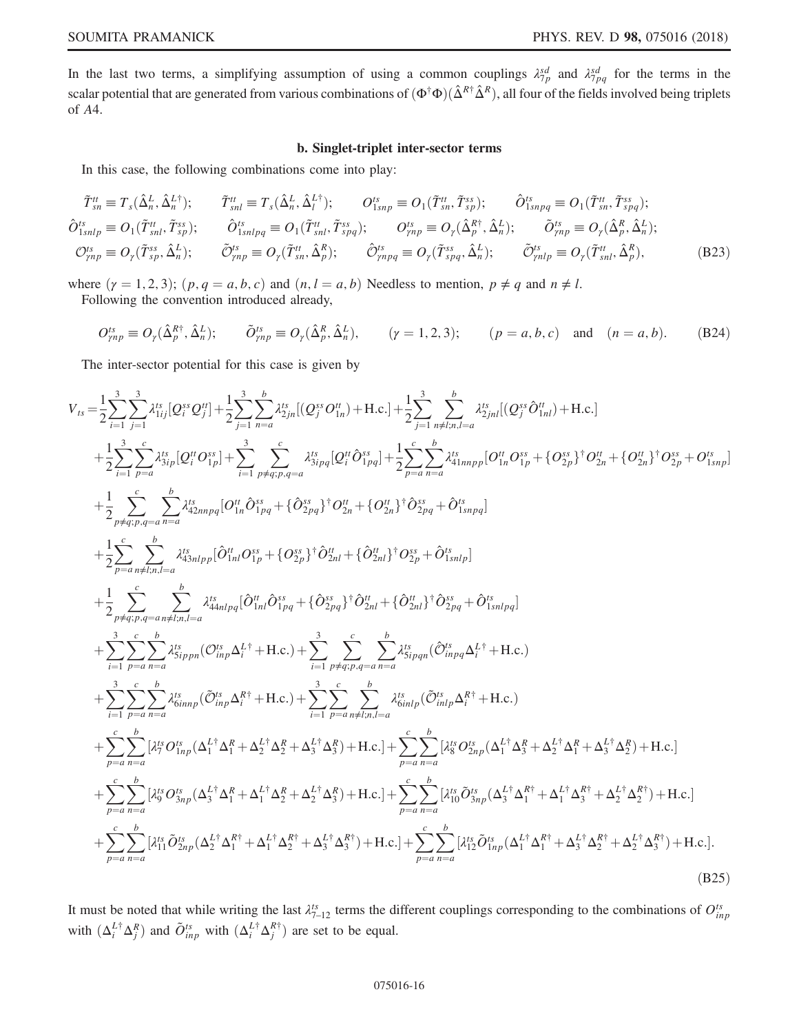In the last two terms, a simplifying assumption of using a common couplings  $\lambda_{7p}^{sd}$  and  $\lambda_{7pq}^{sd}$  for the terms in the scalar potential that are generated from various combinations of  $(\Phi^{\dagger} \Phi)(\hat{\Delta}^{R \dagger} \hat{\Delta}^{R})$ , all four of the fields involved being triplets of  $AA$ of A4.

#### b. Singlet-triplet inter-sector terms

In this case, the following combinations come into play:

$$
\tilde{T}_{sn}^{tt} \equiv T_s(\hat{\Delta}_n^L, \hat{\Delta}_n^{L\dagger}); \qquad \tilde{T}_{snl}^{tt} \equiv T_s(\hat{\Delta}_n^L, \hat{\Delta}_l^{L\dagger}); \qquad O_{1snp}^{ts} \equiv O_1(\tilde{T}_{sn}^{tt}, \tilde{T}_{sp}^{ss}); \qquad \hat{O}_{1snpq}^{ts} \equiv O_1(\tilde{T}_{sn}^{tt}, \tilde{T}_{spq}^{ss});
$$
\n
$$
\hat{O}_{1snlp}^{ts} \equiv O_1(\tilde{T}_{snl}^{tt}, \tilde{T}_{sp}^{ss}); \qquad \hat{O}_{1snlpq}^{ts} \equiv O_1(\tilde{T}_{snl}^{tt}, \tilde{T}_{spq}^{ss}); \qquad O_{pnp}^{ts} \equiv O_r(\hat{\Delta}_p^{R\dagger}, \hat{\Delta}_n^L); \qquad \tilde{O}_{pnp}^{ts} \equiv O_r(\hat{\Delta}_p^R, \hat{\Delta}_n^L);
$$
\n
$$
\mathcal{O}_{pnp}^{ss} \equiv O_r(\tilde{T}_{sp}^{ss}, \hat{\Delta}_n^L); \qquad \tilde{\mathcal{O}}_{pnp}^{ts} \equiv O_r(\tilde{T}_{spq}^{ts}, \hat{\Delta}_n^L); \qquad \tilde{\mathcal{O}}_{pnp}^{ts} \equiv O_r(\tilde{T}_{snl}^{tt}, \hat{\Delta}_p^R), \qquad (\text{B23})
$$

where  $(y = 1, 2, 3)$ ;  $(p, q = a, b, c)$  and  $(n, l = a, b)$  Needless to mention,  $p \neq q$  and  $n \neq l$ . Following the convention introduced already,

$$
O_{\gamma np}^{ts} \equiv O_{\gamma}(\hat{\Delta}_{p}^{R\dagger}, \hat{\Delta}_{n}^{L}); \qquad \tilde{O}_{\gamma np}^{ts} \equiv O_{\gamma}(\hat{\Delta}_{p}^{R}, \hat{\Delta}_{n}^{L}), \qquad (\gamma = 1, 2, 3); \qquad (p = a, b, c) \quad \text{and} \quad (n = a, b). \tag{B24}
$$

<span id="page-15-0"></span>The inter-sector potential for this case is given by

$$
\begin{split} V_{ts}=&\frac{1}{2}\sum_{i=1}^{3}\sum_{j=1}^{3} \lambda_{1ij}^{ts}[Q_{i}^{ss}Q_{j}^{tt}]+\frac{1}{2}\sum_{j=1}^{3}\sum_{n=1}^{b} \lambda_{2ji}^{ts}[ (Q_{j}^{ss}\partial_{1n}^{tt})+H.c.]+\frac{1}{2}\sum_{j=1}^{3}\sum_{n\neq i,n= a}^{b} \lambda_{2ji}^{ts}[ (Q_{j}^{ss}\partial_{1ni}^{st})+H.c.]\\ &+\frac{1}{2}\sum_{i=1}^{3}\sum_{p=a}^{c} \lambda_{3ip}^{ts}[Q_{i}^{tt}\partial_{1:p}^{st}]+\sum_{i=1}^{3}\sum_{p\neq q,p,q=a}^{c} \lambda_{3ipq}^{ts}[Q_{i}^{tt}\partial_{1:pq}^{st}]+\frac{1}{2}\sum_{p=a}^{c}\sum_{n= a}^{b} \lambda_{4i_{mnpp}}^{ts}[O_{1n}^{tt}\partial_{1:p}^{ss}+\{O_{2p}^{ss}\}^{\dagger}O_{2n}^{st}+\{O_{2p}^{ss}\}^{\dagger}O_{2n}^{st}+\{O_{2p}^{ss}\}^{\dagger}O_{2n}^{st}+\{O_{2p}^{ss}\}^{\dagger}O_{2n}^{st}+\{O_{2p}^{ss}\}^{\dagger}O_{2n}^{st}+\{O_{2p}^{ss}\}^{\dagger}O_{2n}^{st}+\{O_{2p}^{ss}\}^{\dagger}O_{2n}^{st}+\{O_{2p}^{ss}\}^{\dagger}O_{2n}^{st}+\{O_{2p}^{ss}\}^{\dagger}O_{2n}^{st}+\{O_{3npq}^{ss}[O_{1n}^{st}\partial_{1:pq}^{st}+\{O_{2p}^{st}\}^{\dagger}O_{2p}^{st}+\{O_{3npq}^{st}]\} \\ &+\frac{1}{2}\sum_{p=a}^{c}\sum_{p\neq q;p,q=a}^{c} \lambda_{3i_{nnpq}^{ts}}^{ts}[O_{1n1}^{st}\partial_{1:pq}^{ss}+\{O_{2p}^{ss}\}^{\dagger}O_{2n1}^{st}+\{O_{2n1}^{st}\}^{\dagger}O_{2p}^{ss}+\{O_{1snnpq}^{ts}[\\ &+\sum_{i=1}^{3}\sum_{p=a}^{c}\sum_{p=a}^{b}
$$

It must be noted that while writing the last  $\lambda_{7-12}^{ts}$  terms the different couplings corresponding to the combinations of  $O_{inp}^{ts}$  with  $(\Delta_i^{L\dagger} \Delta_j^{R\dagger})$  and  $\tilde{O}_{inp}^{ts}$  with  $(\Delta_i^{L\dagger} \Delta_j^{R\dagger})$  are set to be equal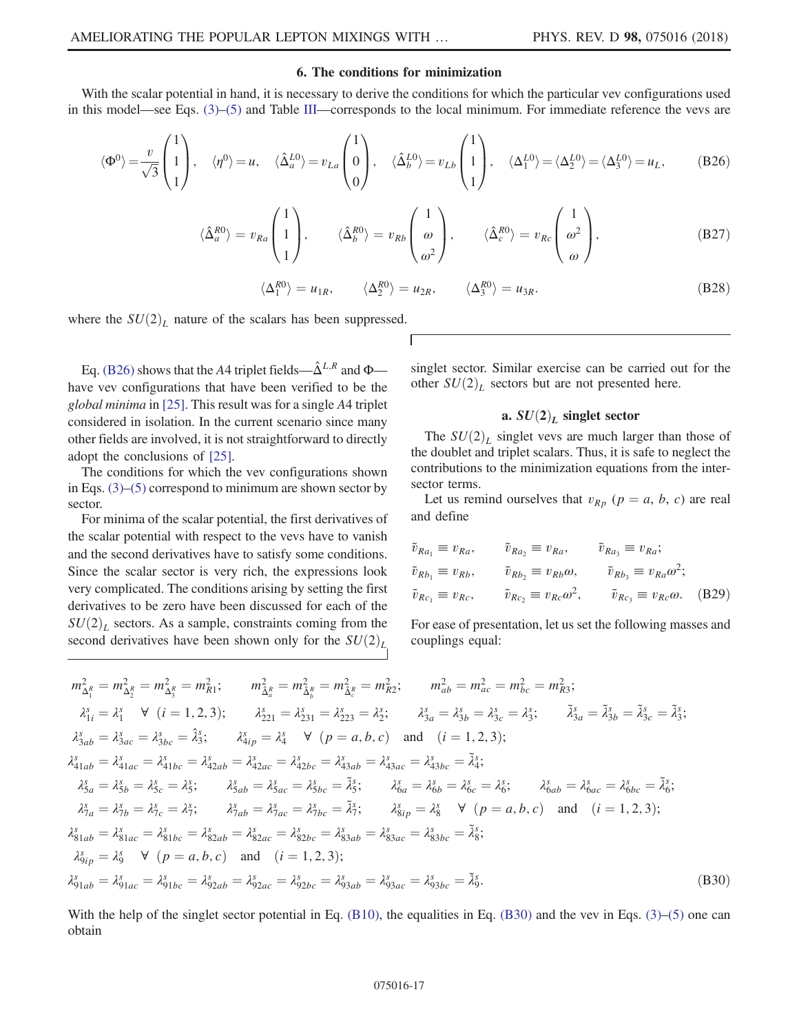## 6. The conditions for minimization

<span id="page-16-0"></span>With the scalar potential in hand, it is necessary to derive the conditions for which the particular vev configurations used in this model—see Eqs. [\(3\)](#page-2-0)–[\(5\)](#page-3-1) and Table [III](#page-3-0)—corresponds to the local minimum. For immediate reference the vevs are

$$
\langle \Phi^0 \rangle = \frac{v}{\sqrt{3}} \begin{pmatrix} 1 \\ 1 \\ 1 \end{pmatrix}, \quad \langle \eta^0 \rangle = u, \quad \langle \hat{\Delta}_a^{L0} \rangle = v_{La} \begin{pmatrix} 1 \\ 0 \\ 0 \end{pmatrix}, \quad \langle \hat{\Delta}_b^{L0} \rangle = v_{Lb} \begin{pmatrix} 1 \\ 1 \\ 1 \end{pmatrix}, \quad \langle \Delta_1^{L0} \rangle = \langle \Delta_2^{L0} \rangle = \langle \Delta_3^{L0} \rangle = u_L, \tag{B26}
$$

$$
\langle \hat{\Delta}_a^{R0} \rangle = v_{Ra} \begin{pmatrix} 1 \\ 1 \\ 1 \end{pmatrix}, \qquad \langle \hat{\Delta}_b^{R0} \rangle = v_{Rb} \begin{pmatrix} 1 \\ \omega \\ \omega^2 \end{pmatrix}, \qquad \langle \hat{\Delta}_c^{R0} \rangle = v_{Rc} \begin{pmatrix} 1 \\ \omega^2 \\ \omega \end{pmatrix}, \qquad (B27)
$$

$$
\langle \Delta_1^{R0} \rangle = u_{1R}, \qquad \langle \Delta_2^{R0} \rangle = u_{2R}, \qquad \langle \Delta_3^{R0} \rangle = u_{3R}.
$$
 (B28)

<span id="page-16-2"></span>where the  $SU(2)_L$  nature of the scalars has been suppressed.

Eq. [\(B26\)](#page-16-0) shows that the A4 triplet fields— $\hat{\Delta}^{L,R}$  and  $\Phi$  have vev configurations that have been verified to be the global minima in [\[25\].](#page-21-19) This result was for a single A4 triplet considered in isolation. In the current scenario since many other fields are involved, it is not straightforward to directly adopt the conclusions of [\[25\].](#page-21-19)

The conditions for which the vev configurations shown in Eqs. [\(3\)](#page-2-0)–[\(5\)](#page-3-1) correspond to minimum are shown sector by sector.

For minima of the scalar potential, the first derivatives of the scalar potential with respect to the vevs have to vanish and the second derivatives have to satisfy some conditions. Since the scalar sector is very rich, the expressions look very complicated. The conditions arising by setting the first derivatives to be zero have been discussed for each of the  $SU(2)_L$  sectors. As a sample, constraints coming from the second derivatives have been shown only for the  $SU(2)_L$  singlet sector. Similar exercise can be carried out for the other  $SU(2)_L$  sectors but are not presented here.

## a.  $SU(2)<sub>L</sub>$  singlet sector

The  $SU(2)_L$  singlet vevs are much larger than those of the doublet and triplet scalars. Thus, it is safe to neglect the contributions to the minimization equations from the intersector terms.

Let us remind ourselves that  $v_{Rp}$   $(p = a, b, c)$  are real and define

$$
\tilde{v}_{Ra_1} \equiv v_{Ra}, \qquad \tilde{v}_{Ra_2} \equiv v_{Ra}, \qquad \tilde{v}_{Ra_3} \equiv v_{Ra};
$$
\n
$$
\tilde{v}_{Rb_1} \equiv v_{Rb}, \qquad \tilde{v}_{Rb_2} \equiv v_{Rb}\omega, \qquad \tilde{v}_{Rb_3} \equiv v_{Ra}\omega^2;
$$
\n
$$
\tilde{v}_{Rc_1} \equiv v_{Rc}, \qquad \tilde{v}_{Rc_2} \equiv v_{Rc}\omega^2, \qquad \tilde{v}_{Rc_3} \equiv v_{Rc}\omega. \qquad (B29)
$$

<span id="page-16-1"></span>For ease of presentation, let us set the following masses and couplings equal:

$$
m_{\Delta_1^R}^2 = m_{\Delta_2^R}^2 = m_{\Delta_3^R}^2 = m_{R1}^2; \t m_{\Delta_4^R}^2 = m_{\Delta_6^R}^2 = m_{\Delta_6^R}^2 = m_{R2}^2; \t m_{ab}^2 = m_{ac}^2 = m_{bc}^2 = m_{R3}^2; \n\lambda_{1i}^s = \lambda_1^s \quad \forall \quad (i = 1, 2, 3); \t \lambda_{221}^s = \lambda_{231}^s = \lambda_{223}^s = \lambda_2^s; \t \lambda_{3a}^s = \lambda_{3b}^s = \lambda_{3c}^s = \lambda_3^s; \t \tilde{\lambda}_{3a}^s = \tilde{\lambda}_{3b}^s = \tilde{\lambda}_{3c}^s = \tilde{\lambda}_{3s}^s; \n\lambda_{3ab}^s = \lambda_{3ac}^s = \lambda_{3bc}^s = \hat{\lambda}_{3s}^s; \t \lambda_{4ip}^s = \lambda_4^s \quad \forall \quad (p = a, b, c) \text{ and } \quad (i = 1, 2, 3); \n\lambda_{41ab}^s = \lambda_{41ac}^s = \lambda_{41bc}^s = \lambda_{42ab}^s = \lambda_{42ac}^s = \lambda_{42bc}^s = \lambda_{43ab}^s = \lambda_{43ac}^s = \lambda_{43bc}^s = \tilde{\lambda}_{4s}^s; \n\lambda_{5a}^s = \lambda_{5b}^s = \lambda_{5c}^s = \lambda_5^s; \t \lambda_{5ab}^s = \lambda_{5ac}^s = \lambda_{5bc}^s = \tilde{\lambda}_{5s}^s; \t \lambda_{6a}^s = \lambda_{6b}^s = \lambda_{6c}^s = \lambda_6^s; \t \lambda_{6ab}^s = \lambda_{6ac}^s = \lambda_{6bc}^s = \tilde{\lambda}_{6s}^s; \n\lambda_{7a}^s = \lambda_{7b}^s = \lambda_{7c}^s = \lambda_{7}^s; \t \lambda_{7ab}^s = \lambda_{7ac}^s = \lambda_{7bc}^s = \tilde{\lambda}_{7s}^s; \t \lambda_{8ip}^s = \lambda_8^s \quad \forall \quad (p = a, b, c) \text{ and } \quad (i
$$

With the help of the singlet sector potential in Eq.  $(B10)$ , the equalities in Eq.  $(B30)$  and the vev in Eqs.  $(3)$ – $(5)$  one can obtain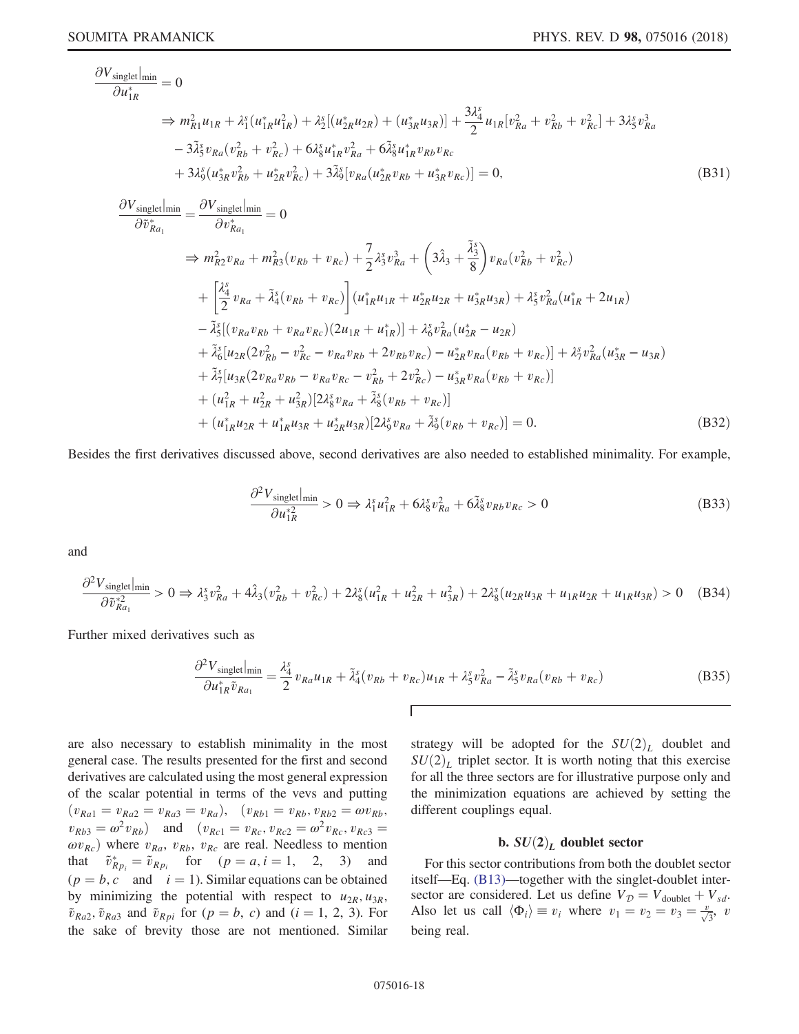$$
\frac{\partial V_{\text{singlet}}}{\partial u_{1R}^{*}} = 0
$$
\n
$$
\Rightarrow m_{R1}^{2}u_{1R} + \lambda_{1}^{s}(u_{1R}^{*}u_{1R}^{2}) + \lambda_{2}^{s}[(u_{2R}^{*}u_{2R}) + (u_{3R}^{*}u_{3R})] + \frac{3\lambda_{4}^{s}}{2}u_{1R}[v_{Ra}^{2} + v_{Rb}^{2} + v_{Rc}^{2}] + 3\lambda_{5}^{s}v_{Ra}^{3}
$$
\n
$$
-3\tilde{\lambda}_{5}^{s}v_{Ra}(v_{Rb}^{2} + v_{Rc}^{2}) + 6\lambda_{8}^{s}u_{1R}^{*}v_{Ra}^{2} + 6\tilde{\lambda}_{8}^{s}u_{1R}^{*}v_{Rb}v_{Rc}
$$
\n
$$
+3\lambda_{9}^{s}(u_{3R}^{*}v_{Rb}^{2} + u_{2R}^{*}v_{Rc}^{2}) + 3\tilde{\lambda}_{9}^{s}[v_{Ra}(u_{2R}^{*}v_{Rb} + u_{3R}^{*}v_{Rc})] = 0,
$$
\n
$$
\frac{\partial V_{\text{singlet}}}{\partial v_{Ra}^{*}} = \frac{\partial V_{\text{singlet}}|_{\text{min}}}{\partial v_{Ra}^{*}} = 0
$$
\n
$$
\Rightarrow m_{R2}^{2}v_{Ra} + m_{R3}^{2}(v_{Rb} + v_{Rc}) + \frac{7}{2}\lambda_{3}^{s}v_{Ra}^{3} + (3\hat{\lambda}_{3} + \frac{\tilde{\lambda}_{3}^{s}}{8})v_{Ra}(v_{Rb}^{2} + v_{Rc}^{2})
$$
\n
$$
+ \left[\frac{\lambda_{4}^{s}}{2}v_{Ra} + \tilde{\lambda}_{4}^{s}(v_{Rb} + v_{Rc})\right](u_{1R}^{*}u_{1R} + u_{2R}^{*}u_{2R} + u_{3R}^{*}u_{3R}) + \lambda_{5}^{s}v_{Ra}^{2}(u_{1R}^{*} + 2u_{1R})
$$
\n
$$
- \tilde{\lambda}_{5}^{s}[(v_{Ra}v_{Rb} + v_{Ra}v_{Rc})(2u_{1R} + u_{1R}^{*})] + \lambda_{6}^{s}v_{Ra}^{2}(
$$

 $+(u_{1R}^*u_{2R}+u_{1R}^*u_{3R}+u_{2R}^*u_{3R})[2\lambda_9^s v_{Ra}+\tilde{\lambda}_9^s(v_{Rb}+v_{Rc})]=0.$  (B32)

Besides the first derivatives discussed above, second derivatives are also needed to established minimality. For example,

$$
\frac{\partial^2 V_{\text{singlet}}|_{\text{min}}}{\partial u_{1R}^{*2}} > 0 \Rightarrow \lambda_1^s u_{1R}^2 + 6\lambda_8^s v_{Ra}^2 + 6\tilde{\lambda}_8^s v_{Rb} v_{Rc} > 0
$$
\n(B33)

and

$$
\frac{\partial^2 V_{\text{singlet}}|_{\text{min}}}{\partial \tilde{v}_{Ra_1}^{*2}} > 0 \Rightarrow \lambda_3^s v_{Ra}^2 + 4\hat{\lambda}_3 (v_{Rb}^2 + v_{Rc}^2) + 2\lambda_8^s (u_{1R}^2 + u_{2R}^2 + u_{3R}^2) + 2\lambda_8^s (u_{2R}u_{3R} + u_{1R}u_{2R} + u_{1R}u_{3R}) > 0 \quad (B34)
$$

Further mixed derivatives such as

$$
\frac{\partial^2 V_{\text{singlet}}|_{\text{min}}}{\partial u_{1R}^* \tilde{v}_{Ra_1}} = \frac{\lambda_4^s}{2} v_{Ra} u_{1R} + \tilde{\lambda}_4^s (v_{Rb} + v_{Rc}) u_{1R} + \lambda_5^s v_{Ra}^2 - \tilde{\lambda}_5^s v_{Ra} (v_{Rb} + v_{Rc})
$$
(B35)

are also necessary to establish minimality in the most general case. The results presented for the first and second derivatives are calculated using the most general expression of the scalar potential in terms of the vevs and putting  $(v_{Ra1} = v_{Ra2} = v_{Ra3} = v_{Ra}), (v_{Rb1} = v_{Rb}, v_{Rb2} = \omega v_{Rb},$  $v_{Rb3} = \omega^2 v_{Rb}$  and  $(v_{Rc1} = v_{Rc}, v_{Rc2} = \omega^2 v_{Rc}, v_{Rc3} = \omega^2 v_{Rc}$  $\omega v_{Rc}$ ) where  $v_{Ra}$ ,  $v_{Rb}$ ,  $v_{Rc}$  are real. Needless to mention that  $\tilde{v}_{Rp_i}^* = \tilde{v}_{Rp_i}$  for  $(p = a, i = 1, 2, 3)$  and  $(p = b, a, \text{ and } i = 1)$  Similar equations can be obtained  $(p = b, c \text{ and } i = 1)$ . Similar equations can be obtained by minimizing the potential with respect to  $u_{2R}$ ,  $u_{3R}$ ,  $\tilde{v}_{Ra2}$ ,  $\tilde{v}_{Ra3}$  and  $\tilde{v}_{Rpi}$  for  $(p = b, c)$  and  $(i = 1, 2, 3)$ . For the sake of brevity those are not mentioned. Similar strategy will be adopted for the  $SU(2)_L$  doublet and  $SU(2)_L$  triplet sector. It is worth noting that this exercise for all the three sectors are for illustrative purpose only and the minimization equations are achieved by setting the different couplings equal.

## b.  $SU(2)<sub>L</sub>$  doublet sector

For this sector contributions from both the doublet sector itself—Eq. [\(B13\)](#page-13-1)—together with the singlet-doublet intersector are considered. Let us define  $V_{\mathcal{D}} = V_{\text{doublet}} + V_{sd}$ . Also let us call  $\langle \Phi_i \rangle \equiv v_i$  where  $v_1 = v_2 = v_3 = \frac{v_3}{\sqrt{3}}$ ,  $v_3$ being real.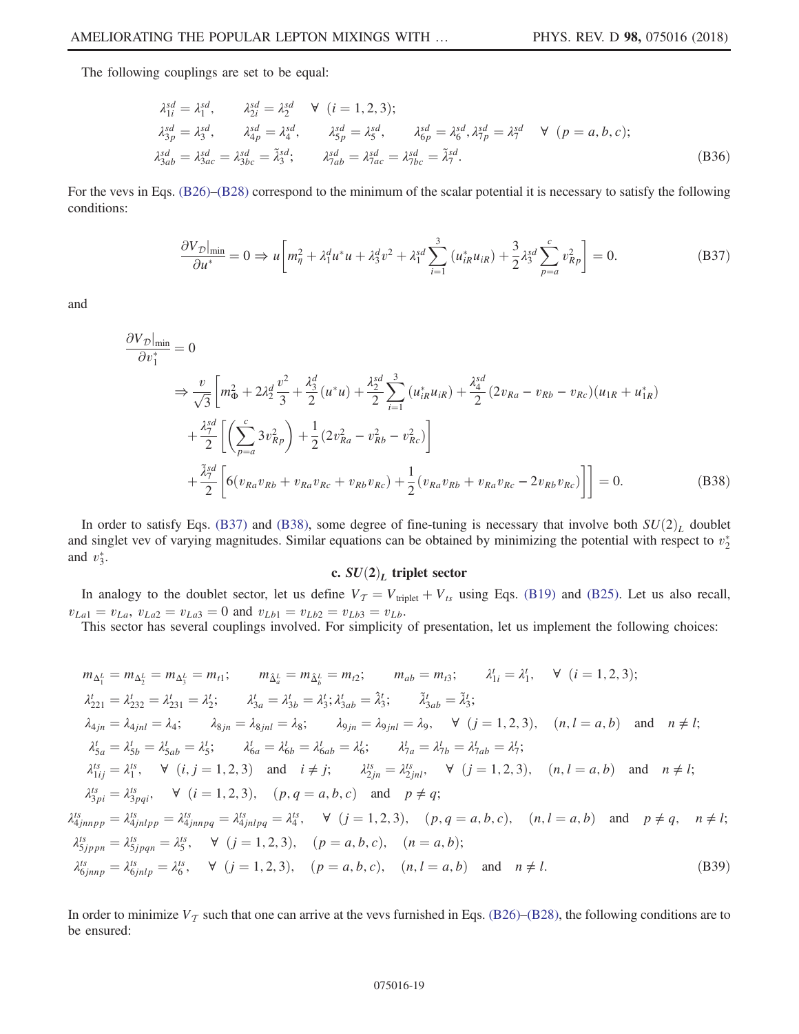The following couplings are set to be equal:

$$
\lambda_{1i}^{sd} = \lambda_1^{sd}, \qquad \lambda_{2i}^{sd} = \lambda_2^{sd} \qquad \forall \quad (i = 1, 2, 3);
$$
\n
$$
\lambda_{3p}^{sd} = \lambda_3^{sd}, \qquad \lambda_{4p}^{sd} = \lambda_4^{sd}, \qquad \lambda_{5p}^{sd} = \lambda_5^{sd}, \qquad \lambda_{6p}^{sd} = \lambda_6^{sd}, \lambda_{7p}^{sd} = \lambda_7^{sd} \qquad \forall \quad (p = a, b, c);
$$
\n
$$
\lambda_{3ab}^{sd} = \lambda_{3ac}^{sd} = \lambda_{3bc}^{sd} = \tilde{\lambda}_3^{sd}; \qquad \lambda_{7ab}^{sd} = \lambda_{7ac}^{sd} = \lambda_{7bc}^{sd} = \tilde{\lambda}_7^{sd}.
$$
\n(B36)

<span id="page-18-0"></span>For the vevs in Eqs. [\(B26\)](#page-16-0)–[\(B28\)](#page-16-2) correspond to the minimum of the scalar potential it is necessary to satisfy the following conditions:

$$
\frac{\partial V_{\mathcal{D}}|_{\min}}{\partial u^*} = 0 \Rightarrow u \left[ m_{\eta}^2 + \lambda_1^d u^* u + \lambda_3^d v^2 + \lambda_1^{sd} \sum_{i=1}^3 (u_{iR}^* u_{iR}) + \frac{3}{2} \lambda_3^{sd} \sum_{p=a}^c v_{Rp}^2 \right] = 0. \tag{B37}
$$

<span id="page-18-1"></span>and

$$
\frac{\partial V_{\mathcal{D}}|_{\min}}{\partial v_1^*} = 0
$$
\n
$$
\Rightarrow \frac{v}{\sqrt{3}} \left[ m_{\Phi}^2 + 2\lambda_2^d \frac{v^2}{3} + \frac{\lambda_3^d}{2} (u^*u) + \frac{\lambda_2^sd}{2} \sum_{i=1}^3 (u_{iR}^* u_{iR}) + \frac{\lambda_4^{sd}}{2} (2v_{Ra} - v_{Rb} - v_{Rc}) (u_{1R} + u_{1R}^*) + \frac{\lambda_1^{sd}}{2} \left[ \left( \sum_{p=a}^c 3v_{Rp}^2 \right) + \frac{1}{2} (2v_{Ra}^2 - v_{Rb}^2 - v_{Rc}^2) \right] + \frac{\tilde{\lambda}_1^{sd}}{2} \left[ 6(v_{Ra}v_{Rb} + v_{Ra}v_{Rc} + v_{Rb}v_{Rc}) + \frac{1}{2} (v_{Ra}v_{Rb} + v_{Ra}v_{Rc} - 2v_{Rb}v_{Rc}) \right] \right] = 0.
$$
\n(B38)

In order to satisfy Eqs. [\(B37\)](#page-18-0) and [\(B38\)](#page-18-1), some degree of fine-tuning is necessary that involve both  $SU(2)_L$  doublet and singlet vev of varying magnitudes. Similar equations can be obtained by minimizing the potential with respect to  $v_2^*$ and  $v_3^*$ .

## c.  $SU(2)_L$  triplet sector

In analogy to the doublet sector, let us define  $V_T = V_{\text{triplet}} + V_{ts}$  using Eqs. [\(B19\)](#page-14-0) and [\(B25\)](#page-15-0). Let us also recall,  $v_{La1} = v_{La}, v_{La2} = v_{La3} = 0$  and  $v_{Lb1} = v_{Lb2} = v_{Lb3} = v_{Lb}$ .

This sector has several couplings involved. For simplicity of presentation, let us implement the following choices:

$$
m_{\Delta_1^L} = m_{\Delta_2^L} = m_{\Delta_3^L} = m_{l1}; \t m_{\hat{\Delta}_a^L} = m_{\hat{\Delta}_b^L} = m_{l2}; \t m_{ab} = m_{l3}; \t \lambda'_{1i} = \lambda'_1, \t \forall (i = 1, 2, 3);
$$
  
\n
$$
\lambda'_{21} = \lambda'_{232} = \lambda'_{231} = \lambda'_2; \t \lambda'_{3a} = \lambda'_{3b} = \lambda'_3; \lambda'_{3ab} = \hat{\lambda}'_3; \t \tilde{\lambda}'_{3ab} = \tilde{\lambda}'_3;
$$
  
\n
$$
\lambda_{4jn} = \lambda_{4jnl} = \lambda_4; \t \lambda_{8jn} = \lambda_{8jnl} = \lambda_8; \t \lambda_{9jn} = \lambda_{9jnl} = \lambda_9, \t \forall (j = 1, 2, 3), (n, l = a, b) \text{ and } n \neq l;
$$
  
\n
$$
\lambda'_{5a} = \lambda'_{5b} = \lambda'_{5ab} = \lambda'_5; \t \lambda'_{6a} = \lambda'_{6b} = \lambda'_{6ab} = \lambda'_6; \t \lambda'_{7a} = \lambda'_{7b} = \lambda'_{7ab} = \lambda'_7;
$$
  
\n
$$
\lambda^{ls}_{1ij} = \lambda^{ls}_{1j}, \t \forall (i, j = 1, 2, 3) \text{ and } i \neq j; \t \lambda^{ls}_{2jn} = \lambda^{ls}_{2jnl}, \t \forall (j = 1, 2, 3), (n, l = a, b) \text{ and } n \neq l;
$$
  
\n
$$
\lambda^{ls}_{3pi} = \lambda^{ls}_{3pqi}, \t \forall (i = 1, 2, 3), (p, q = a, b, c) \text{ and } p \neq q;
$$
  
\n
$$
\lambda^{ls}_{4jnnpp} = \lambda^{ls}_{4jnlpp} = \lambda^{ls}_{4jnlpp} = \lambda^{ls}_{4jnlpq} = \lambda'^{ls}_{4j}, \t \forall (j = 1, 2, 3), (p, q = a, b, c), (n, l = a, b) \text{ and } p \neq q, n \neq l;
$$
  
\n
$$
\lambda^{ls}_{5jppn} = \lambda^{ls}_{5jppn} = \lambda^{ls}_{5jplqn
$$

<span id="page-18-2"></span>In order to minimize  $V<sub>T</sub>$  such that one can arrive at the vevs furnished in Eqs. [\(B26\)](#page-16-0)–[\(B28\)](#page-16-2), the following conditions are to be ensured: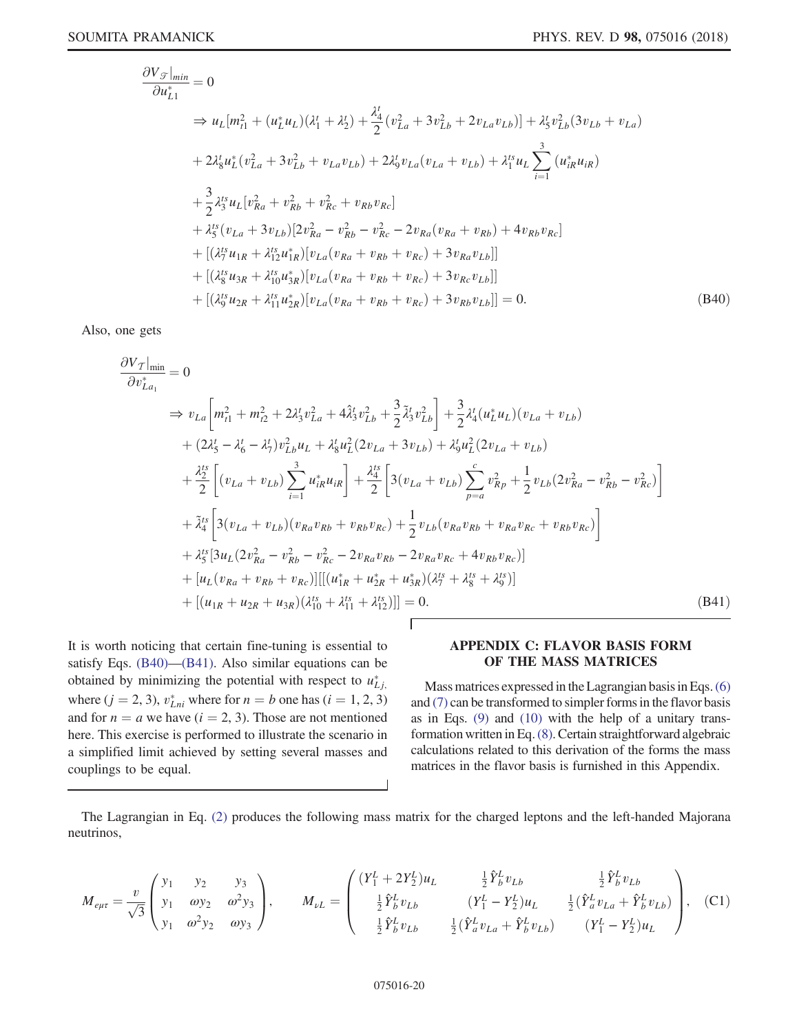$$
\frac{\partial V_{\mathcal{F}}|_{min}}{\partial u_{L1}^{*}} = 0
$$
\n
$$
\Rightarrow u_{L}[m_{t1}^{2} + (u_{L}^{*}u_{L})(\lambda_{1}^{t} + \lambda_{2}^{t}) + \frac{\lambda_{4}^{t}}{2}(v_{La}^{2} + 3v_{Lb}^{2} + 2v_{La}v_{Lb})] + \lambda_{5}^{t}v_{Lb}^{2}(3v_{Lb} + v_{La})
$$
\n
$$
+ 2\lambda_{8}^{t}u_{L}^{*}(v_{La}^{2} + 3v_{Lb}^{2} + v_{La}v_{Lb}) + 2\lambda_{9}^{t}v_{La}(v_{La} + v_{Lb}) + \lambda_{1}^{ts}u_{L}\sum_{i=1}^{3}(u_{iR}^{*}u_{iR})
$$
\n
$$
+ \frac{3}{2}\lambda_{3}^{ts}u_{L}[v_{Ra}^{2} + v_{Rb}^{2} + v_{Rc}^{2} + v_{Rb}v_{Rc}]
$$
\n
$$
+ \lambda_{5}^{ts}(v_{La} + 3v_{Lb})[2v_{Ra}^{2} - v_{Rb}^{2} - v_{Rc}^{2} - 2v_{Ra}(v_{Ra} + v_{Rb}) + 4v_{Rb}v_{Rc}]
$$
\n
$$
+ [(\lambda_{7}^{ts}u_{1R} + \lambda_{12}^{ts}u_{1R}^{*})[v_{La}(v_{Ra} + v_{Rb} + v_{Rc}) + 3v_{Ra}v_{Lb}]]
$$
\n
$$
+ [(\lambda_{8}^{ts}u_{3R} + \lambda_{10}^{ts}u_{3R}^{*})[v_{La}(v_{Ra} + v_{Rb} + v_{Rc}) + 3v_{Rc}v_{Lb}]]
$$
\n
$$
+ [(\lambda_{9}^{ts}u_{2R} + \lambda_{11}^{ts}u_{2R}^{*})[v_{La}(v_{Ra} + v_{Rb} + v_{Rc}) + 3v_{Rb}v_{Lb}]] = 0.
$$
\n(B40)

<span id="page-19-1"></span>Also, one gets

$$
\frac{\partial V_{\mathcal{T}}|_{\text{min}}}{\partial v_{La_1}^*} = 0
$$
\n
$$
\Rightarrow v_{La} \left[ m_{t1}^2 + m_{t2}^2 + 2\lambda_3^t v_{La}^2 + 4\hat{\lambda}_3^t v_{Lb}^2 + \frac{3}{2}\tilde{\lambda}_3^t v_{Lb}^2 \right] + \frac{3}{2}\lambda_4^t (u_L^* u_L)(v_{La} + v_{Lb})
$$
\n
$$
+ (2\lambda_5^t - \lambda_6^t - \lambda_7^t) v_{Lb}^2 u_L + \lambda_8^t u_L^2 (2v_{La} + 3v_{Lb}) + \lambda_9^t u_L^2 (2v_{La} + v_{Lb})
$$
\n
$$
+ \frac{\lambda_2^{ts}}{2} \left[ (v_{La} + v_{Lb}) \sum_{i=1}^3 u_{iR}^* u_{iR} \right] + \frac{\lambda_4^{ts}}{2} \left[ 3(v_{La} + v_{Lb}) \sum_{p=a}^c v_{Rp}^2 + \frac{1}{2} v_{Lb} (2v_{Ra}^2 - v_{Rb}^2 - v_{Rc}^2) \right]
$$
\n
$$
+ \tilde{\lambda}_4^{ts} \left[ 3(v_{La} + v_{Lb}) (v_{Ra}v_{Rb} + v_{Rb}v_{Rc}) + \frac{1}{2} v_{Lb} (v_{Ra}v_{Rb} + v_{Ra}v_{Rc} + v_{Rb}v_{Rc}) \right]
$$
\n
$$
+ \lambda_5^{ts} [3u_L (2v_{Ra}^2 - v_{Rb}^2 - v_{Rc}^2 - 2v_{Ra}v_{Rb} - 2v_{Ra}v_{Rc} + 4v_{Rb}v_{Rc})]
$$
\n
$$
+ [u_L (v_{Ra} + v_{Rb} + v_{Rc})] [[(u_{1R}^* + u_{2R}^* + u_{3R}^*) (\lambda_7^{ts} + \lambda_8^{ts} + \lambda_9^{ts})]
$$
\n
$$
+ [(u_{1R} + u_{2R} + u_{3R}) (\lambda_{10}^{ts} + \lambda_{11}^{ts} + \lambda_{12}^{ts})]] = 0.
$$
\n(B41)

It is worth noticing that certain fine-tuning is essential to satisfy Eqs. [\(B40\)](#page-18-2)—[\(B41\).](#page-19-1) Also similar equations can be obtained by minimizing the potential with respect to  $u_{Li}^*$ where  $(j = 2, 3)$ ,  $v_{Lni}^*$  where for  $n = b$  one has  $(i = 1, 2, 3)$ <br>and for  $n = a$  we have  $(i = 2, 3)$ . Those are not mentioned and for  $n = a$  we have  $(i = 2, 3)$ . Those are not mentioned here. This exercise is performed to illustrate the scenario in a simplified limit achieved by setting several masses and couplings to be equal.

## <span id="page-19-0"></span>APPENDIX C: FLAVOR BASIS FORM OF THE MASS MATRICES

Mass matrices expressed in the Lagrangian basis in Eqs.[\(6\)](#page-3-2) and [\(7\)](#page-4-0) can be transformed to simpler forms in the flavor basis as in Eqs. [\(9\)](#page-4-2) and [\(10\)](#page-4-1) with the help of a unitary transformation written in Eq.[\(8\).](#page-4-5) Certain straightforward algebraic calculations related to this derivation of the forms the mass matrices in the flavor basis is furnished in this Appendix.

The Lagrangian in Eq. [\(2\)](#page-2-1) produces the following mass matrix for the charged leptons and the left-handed Majorana neutrinos,

 $\overline{\phantom{a}}$ 

$$
M_{e\mu\tau} = \frac{v}{\sqrt{3}} \begin{pmatrix} y_1 & y_2 & y_3 \\ y_1 & \omega y_2 & \omega^2 y_3 \\ y_1 & \omega^2 y_2 & \omega y_3 \end{pmatrix}, \qquad M_{\nu L} = \begin{pmatrix} (Y_1^L + 2Y_2^L)u_L & \frac{1}{2}\hat{Y}_b^L v_{Lb} & \frac{1}{2}\hat{Y}_b^L v_{Lb} \\ \frac{1}{2}\hat{Y}_b^L v_{Lb} & (Y_1^L - Y_2^L)u_L & \frac{1}{2}(\hat{Y}_a^L v_{La} + \hat{Y}_b^L v_{Lb}) \\ \frac{1}{2}\hat{Y}_b^L v_{Lb} & \frac{1}{2}(\hat{Y}_a^L v_{La} + \hat{Y}_b^L v_{Lb}) & (Y_1^L - Y_2^L)u_L \end{pmatrix}, \quad (C1)
$$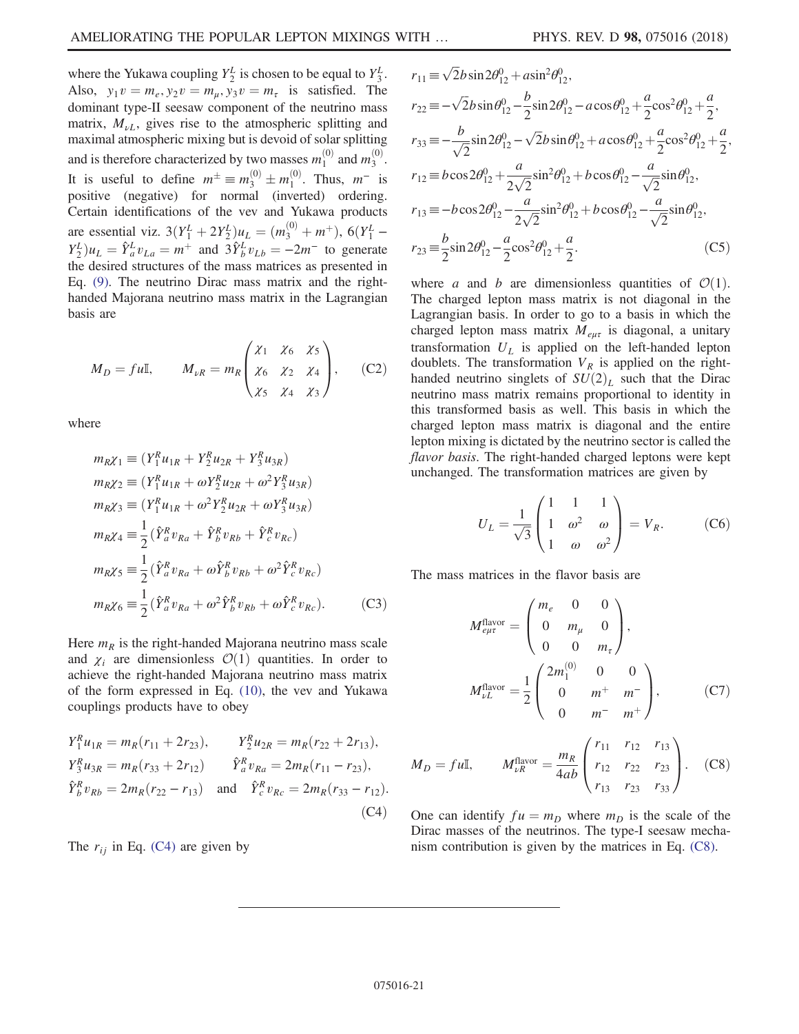where the Yukawa coupling  $Y_2^L$  is chosen to be equal to  $Y_3^L$ . Also,  $y_1v = m_e, y_2v = m_\mu, y_3v = m_\tau$  is satisfied. The dominant type-II seesaw component of the neutrino mass matrix,  $M_{\nu I}$ , gives rise to the atmospheric splitting and maximal atmospheric mixing but is devoid of solar splitting and is therefore characterized by two masses  $m_1^{(0)}$  and  $m_3^{(0)}$ . It is useful to define  $m^{\pm} \equiv m_3^{(0)} \pm m_1^{(0)}$ . Thus,  $m^-$  is positive (negative) for normal (inverted) ordering. Certain identifications of the vev and Yukawa products are essential viz.  $3(Y_1^L + 2Y_2^L)u_L = (m_3^{(0)} + m^+), 6(Y_1^L - V_L)u_L = \hat{v}_L^L u_L - \hat{v}_L^L u_L = 2m^2$  to concrete  $Y_2^L u_L = \hat{Y}_a^L v_{La} = m^+$  and  $\hat{X}_b^L v_{Lb} = -2m^-$  to generate<br>the desired structures of the mass matrices as presented in the desired structures of the mass matrices as presented in Eq. [\(9\)](#page-4-2). The neutrino Dirac mass matrix and the righthanded Majorana neutrino mass matrix in the Lagrangian basis are

$$
M_D = fu\mathbb{I}, \qquad M_{\nu R} = m_R \begin{pmatrix} \chi_1 & \chi_6 & \chi_5 \\ \chi_6 & \chi_2 & \chi_4 \\ \chi_5 & \chi_4 & \chi_3 \end{pmatrix}, \qquad \text{(C2)}
$$

where

$$
m_R \chi_1 \equiv (Y_1^R u_{1R} + Y_2^R u_{2R} + Y_3^R u_{3R})
$$
  
\n
$$
m_R \chi_2 \equiv (Y_1^R u_{1R} + \omega Y_2^R u_{2R} + \omega^2 Y_3^R u_{3R})
$$
  
\n
$$
m_R \chi_3 \equiv (Y_1^R u_{1R} + \omega^2 Y_2^R u_{2R} + \omega Y_3^R u_{3R})
$$
  
\n
$$
m_R \chi_4 \equiv \frac{1}{2} (\hat{Y}_a^R v_{Ra} + \hat{Y}_b^R v_{Rb} + \hat{Y}_c^R v_{Rc})
$$
  
\n
$$
m_R \chi_5 \equiv \frac{1}{2} (\hat{Y}_a^R v_{Ra} + \omega \hat{Y}_b^R v_{Rb} + \omega^2 \hat{Y}_c^R v_{Rc})
$$
  
\n
$$
m_R \chi_6 \equiv \frac{1}{2} (\hat{Y}_a^R v_{Ra} + \omega^2 \hat{Y}_b^R v_{Rb} + \omega \hat{Y}_c^R v_{Rc}).
$$
 (C3)

<span id="page-20-1"></span>Here  $m_R$  is the right-handed Majorana neutrino mass scale and  $\chi_i$  are dimensionless  $\mathcal{O}(1)$  quantities. In order to achieve the right-handed Majorana neutrino mass matrix of the form expressed in Eq. [\(10\),](#page-4-1) the vev and Yukawa couplings products have to obey

$$
Y_1^R u_{1R} = m_R(r_{11} + 2r_{23}), \t Y_2^R u_{2R} = m_R(r_{22} + 2r_{13}),
$$
  
\n
$$
Y_3^R u_{3R} = m_R(r_{33} + 2r_{12}) \t \hat{Y}_a^R v_{Ra} = 2m_R(r_{11} - r_{23}),
$$
  
\n
$$
\hat{Y}_b^R v_{Rb} = 2m_R(r_{22} - r_{13}) \t \text{and} \t \hat{Y}_c^R v_{Rc} = 2m_R(r_{33} - r_{12}).
$$
  
\n(C4)

<span id="page-20-0"></span>The  $r_{ii}$  in Eq. [\(C4\)](#page-20-1) are given by

$$
r_{11} = \sqrt{2}b\sin 2\theta_{12}^{0} + a\sin^{2}\theta_{12}^{0},
$$
  
\n
$$
r_{22} = -\sqrt{2}b\sin \theta_{12}^{0} - \frac{b}{2}\sin 2\theta_{12}^{0} - a\cos \theta_{12}^{0} + \frac{a}{2}\cos^{2}\theta_{12}^{0} + \frac{a}{2},
$$
  
\n
$$
r_{33} = -\frac{b}{\sqrt{2}}\sin 2\theta_{12}^{0} - \sqrt{2}b\sin \theta_{12}^{0} + a\cos \theta_{12}^{0} + \frac{a}{2}\cos^{2}\theta_{12}^{0} + \frac{a}{2},
$$
  
\n
$$
r_{12} = b\cos 2\theta_{12}^{0} + \frac{a}{2\sqrt{2}}\sin^{2}\theta_{12}^{0} + b\cos \theta_{12}^{0} - \frac{a}{\sqrt{2}}\sin \theta_{12}^{0},
$$
  
\n
$$
r_{13} = -b\cos 2\theta_{12}^{0} - \frac{a}{2\sqrt{2}}\sin^{2}\theta_{12}^{0} + b\cos \theta_{12}^{0} - \frac{a}{\sqrt{2}}\sin \theta_{12}^{0},
$$
  
\n
$$
r_{23} = \frac{b}{2}\sin 2\theta_{12}^{0} - \frac{a}{2}\cos^{2}\theta_{12}^{0} + \frac{a}{2}.
$$
 (C5)

where a and b are dimensionless quantities of  $\mathcal{O}(1)$ . The charged lepton mass matrix is not diagonal in the Lagrangian basis. In order to go to a basis in which the charged lepton mass matrix  $M_{\ell\mu\tau}$  is diagonal, a unitary transformation  $U_L$  is applied on the left-handed lepton doublets. The transformation  $V_R$  is applied on the righthanded neutrino singlets of  $SU(2)_L$  such that the Dirac neutrino mass matrix remains proportional to identity in this transformed basis as well. This basis in which the charged lepton mass matrix is diagonal and the entire lepton mixing is dictated by the neutrino sector is called the flavor basis. The right-handed charged leptons were kept unchanged. The transformation matrices are given by

$$
U_L = \frac{1}{\sqrt{3}} \begin{pmatrix} 1 & 1 & 1 \\ 1 & \omega^2 & \omega \\ 1 & \omega & \omega^2 \end{pmatrix} = V_R.
$$
 (C6)

The mass matrices in the flavor basis are

$$
M_{e\mu\tau}^{\text{flavor}} = \begin{pmatrix} m_e & 0 & 0 \\ 0 & m_\mu & 0 \\ 0 & 0 & m_\tau \end{pmatrix},
$$

$$
M_{\nu L}^{\text{flavor}} = \frac{1}{2} \begin{pmatrix} 2m_1^{(0)} & 0 & 0 \\ 0 & m^+ & m^- \\ 0 & m^- & m^+ \end{pmatrix}, \qquad (C7)
$$

<span id="page-20-2"></span>
$$
M_D = fu\mathbb{I}, \qquad M_{\nu R}^{\text{flavor}} = \frac{m_R}{4ab} \begin{pmatrix} r_{11} & r_{12} & r_{13} \\ r_{12} & r_{22} & r_{23} \\ r_{13} & r_{23} & r_{33} \end{pmatrix} . \tag{C8}
$$

One can identify  $fu = m_D$  where  $m_D$  is the scale of the Dirac masses of the neutrinos. The type-I seesaw mechanism contribution is given by the matrices in Eq. [\(C8\).](#page-20-2)